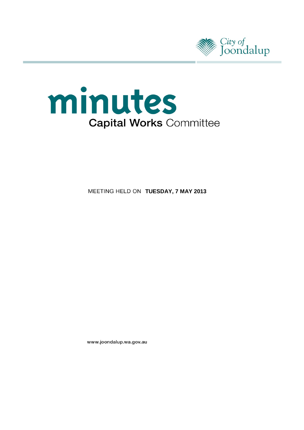



**MEETING HELD ON TUESDAY, 7 MAY 2013** 

www.joondalup.wa.gov.au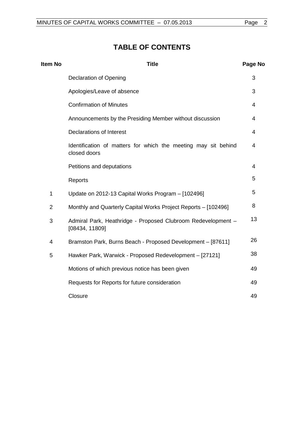# **TABLE OF CONTENTS**

| Item No        | <b>Title</b>                                                                   | Page No        |
|----------------|--------------------------------------------------------------------------------|----------------|
|                | <b>Declaration of Opening</b>                                                  | 3              |
|                | Apologies/Leave of absence                                                     | 3              |
|                | <b>Confirmation of Minutes</b>                                                 | 4              |
|                | Announcements by the Presiding Member without discussion                       | 4              |
|                | <b>Declarations of Interest</b>                                                | $\overline{4}$ |
|                | Identification of matters for which the meeting may sit behind<br>closed doors | 4              |
|                | Petitions and deputations                                                      | 4              |
|                | Reports                                                                        | 5              |
| 1              | Update on 2012-13 Capital Works Program - [102496]                             | 5              |
| $\overline{2}$ | Monthly and Quarterly Capital Works Project Reports - [102496]                 | 8              |
| 3              | Admiral Park, Heathridge - Proposed Clubroom Redevelopment -<br>[08434, 11809] | 13             |
| $\overline{4}$ | Bramston Park, Burns Beach - Proposed Development - [87611]                    | 26             |
| 5              | Hawker Park, Warwick - Proposed Redevelopment - [27121]                        | 38             |
|                | Motions of which previous notice has been given                                | 49             |
|                | Requests for Reports for future consideration                                  | 49             |
|                | Closure                                                                        | 49             |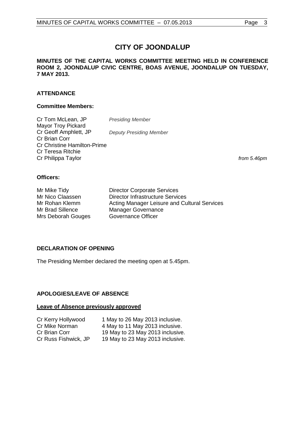# **CITY OF JOONDALUP**

# **MINUTES OF THE CAPITAL WORKS COMMITTEE MEETING HELD IN CONFERENCE ROOM 2, JOONDALUP CIVIC CENTRE, BOAS AVENUE, JOONDALUP ON TUESDAY, 7 MAY 2013.**

# **ATTENDANCE**

# **Committee Members:**

Cr Tom McLean, JP *Presiding Member* Mayor Troy Pickard<br>Cr Geoff Amphlett, JP **Deputy Presiding Member** Cr Brian Corr Cr Christine Hamilton-Prime Cr Teresa Ritchie Cr Philippa Taylor *from 5.46pm*

# **Officers:**

Mrs Deborah Gouges

Mr Mike Tidy Director Corporate Services Mr Nico Claassen **Director Infrastructure Services**<br>Mr Rohan Klemm **Director Acting Manager Leisure and Cu** Mr Rohan Klemm **Acting Manager Leisure and Cultural Services**<br>Mr Brad Sillence Manager Governance Manager Governance<br>Governance Officer

# <span id="page-2-0"></span>**DECLARATION OF OPENING**

The Presiding Member declared the meeting open at 5.45pm.

# <span id="page-2-1"></span>**APOLOGIES/LEAVE OF ABSENCE**

# **Leave of Absence previously approved**

| Cr Kerry Hollywood   | 1 May to 26 May 2013 inclusive.  |
|----------------------|----------------------------------|
| Cr Mike Norman       | 4 May to 11 May 2013 inclusive.  |
| Cr Brian Corr        | 19 May to 23 May 2013 inclusive. |
| Cr Russ Fishwick, JP | 19 May to 23 May 2013 inclusive. |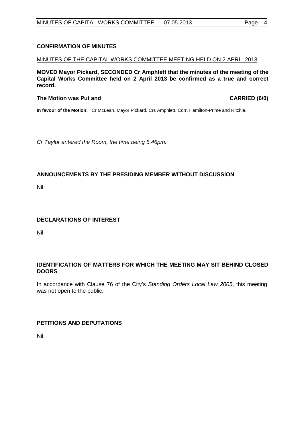# <span id="page-3-0"></span>**CONFIRMATION OF MINUTES**

# MINUTES OF THE CAPITAL WORKS COMMITTEE MEETING HELD ON 2 APRIL 2013

**MOVED Mayor Pickard, SECONDED Cr Amphlett that the minutes of the meeting of the Capital Works Committee held on 2 April 2013 be confirmed as a true and correct record.**

# **The Motion was Put and CARRIED (6/0)**

**In favour of the Motion:** Cr McLean, Mayor Pickard, Crs Amphlett, Corr, Hamilton-Prime and Ritchie.

*Cr Taylor entered the Room, the time being 5.46pm.* 

# <span id="page-3-1"></span>**ANNOUNCEMENTS BY THE PRESIDING MEMBER WITHOUT DISCUSSION**

Nil.

# <span id="page-3-2"></span>**DECLARATIONS OF INTEREST**

Nil.

# <span id="page-3-3"></span>**IDENTIFICATION OF MATTERS FOR WHICH THE MEETING MAY SIT BEHIND CLOSED DOORS**

In accordance with Clause 76 of the City's *Standing Orders Local Law 2005*, this meeting was not open to the public.

# <span id="page-3-4"></span>**PETITIONS AND DEPUTATIONS**

Nil.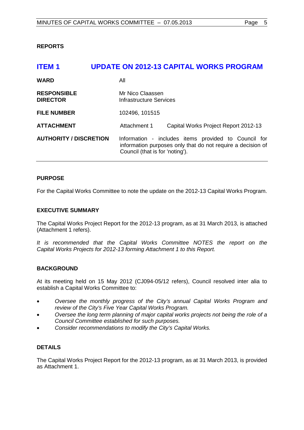# <span id="page-4-0"></span>**REPORTS**

# <span id="page-4-1"></span>**ITEM 1 UPDATE ON 2012-13 CAPITAL WORKS PROGRAM WARD** All **RESPONSIBLE** Mr Nico Claassen<br> **DIRECTOR** Mr Infrastructure Server **Infrastructure Services FILE NUMBER** 102496, 101515

ATTACHMENT Attachment 1 Capital Works Project Report 2012-13

**AUTHORITY / DISCRETION** Information - includes items provided to Council for information purposes only that do not require a decision of Council (that is for 'noting').

# **PURPOSE**

For the Capital Works Committee to note the update on the 2012-13 Capital Works Program.

# **EXECUTIVE SUMMARY**

The Capital Works Project Report for the 2012-13 program, as at 31 March 2013, is attached (Attachment 1 refers).

It is recommended that the Capital Works Committee NOTES the report on the *Capital Works Projects for 2012-13 forming Attachment 1 to this Report.*

# **BACKGROUND**

At its meeting held on 15 May 2012 (CJ094-05/12 refers), Council resolved inter alia to establish a Capital Works Committee to:

- *Oversee the monthly progress of the City's annual Capital Works Program and review of the City's Five Year Capital Works Program.*
- *Oversee the long term planning of major capital works projects not being the role of a Council Committee established for such purposes.*
- *Consider recommendations to modify the City's Capital Works.*

# **DETAILS**

The Capital Works Project Report for the 2012-13 program, as at 31 March 2013, is provided as Attachment 1.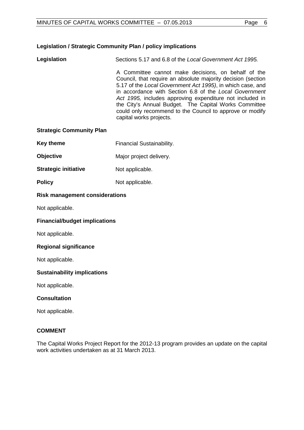# **Legislation / Strategic Community Plan / policy implications**

**Legislation** Sections 5.17 and 6.8 of the *Local Government Act 1995.*

A Committee cannot make decisions, on behalf of the Council, that require an absolute majority decision (section 5.17 of the *Local Government Act 1995)*, in which case, and in accordance with Section 6.8 of the *Local Government Act 1995,* includes approving expenditure not included in the City's Annual Budget. The Capital Works Committee could only recommend to the Council to approve or modify capital works projects.

# **Strategic Community Plan**

- **Key theme** Financial Sustainability.
- **Objective** Major project delivery.
- **Strategic initiative** Not applicable.
- **Policy** Not applicable.

# **Risk management considerations**

Not applicable.

# **Financial/budget implications**

Not applicable.

# **Regional significance**

Not applicable.

# **Sustainability implications**

Not applicable.

# **Consultation**

Not applicable.

# **COMMENT**

The Capital Works Project Report for the 2012-13 program provides an update on the capital work activities undertaken as at 31 March 2013.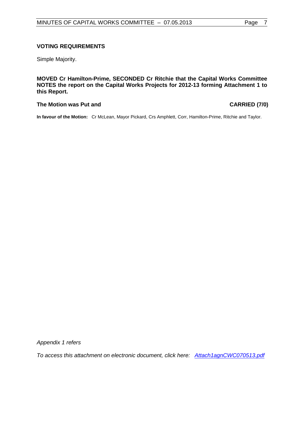# **VOTING REQUIREMENTS**

Simple Majority.

**MOVED Cr Hamilton-Prime, SECONDED Cr Ritchie that the Capital Works Committee NOTES the report on the Capital Works Projects for 2012-13 forming Attachment 1 to this Report.**

# **The Motion was Put and CARRIED (7/0)**

**In favour of the Motion:** Cr McLean, Mayor Pickard, Crs Amphlett, Corr, Hamilton-Prime, Ritchie and Taylor.

*Appendix 1 refers*

*To access this attachment on electronic document, click he[re: Attach1agnCWC070513.pdf](http://www.joondalup.wa.gov.au/files/committees/CWOC/2013/Attach1agnCWC070513.pdf)*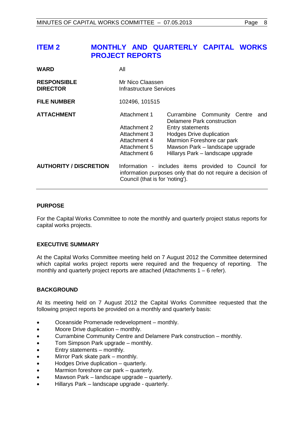# <span id="page-7-0"></span>**ITEM 2 MONTHLY AND QUARTERLY CAPITAL WORKS PROJECT REPORTS**

| <b>WARD</b>                           | All                                                                                          |                                                                                                                                                                                                                                      |  |
|---------------------------------------|----------------------------------------------------------------------------------------------|--------------------------------------------------------------------------------------------------------------------------------------------------------------------------------------------------------------------------------------|--|
| <b>RESPONSIBLE</b><br><b>DIRECTOR</b> | Mr Nico Claassen<br>Infrastructure Services                                                  |                                                                                                                                                                                                                                      |  |
| <b>FILE NUMBER</b>                    | 102496, 101515                                                                               |                                                                                                                                                                                                                                      |  |
| <b>ATTACHMENT</b>                     | Attachment 1<br>Attachment 2<br>Attachment 3<br>Attachment 4<br>Attachment 5<br>Attachment 6 | Currambine Community Centre<br>and<br>Delamere Park construction<br><b>Entry statements</b><br><b>Hodges Drive duplication</b><br>Marmion Foreshore car park<br>Mawson Park - landscape upgrade<br>Hillarys Park - landscape upgrade |  |
| <b>AUTHORITY / DISCRETION</b>         | Council (that is for 'noting').                                                              | Information - includes items provided to Council for<br>information purposes only that do not require a decision of                                                                                                                  |  |

# **PURPOSE**

For the Capital Works Committee to note the monthly and quarterly project status reports for capital works projects.

# **EXECUTIVE SUMMARY**

At the Capital Works Committee meeting held on 7 August 2012 the Committee determined which capital works project reports were required and the frequency of reporting. The monthly and quarterly project reports are attached (Attachments  $1 - 6$  refer).

# **BACKGROUND**

At its meeting held on 7 August 2012 the Capital Works Committee requested that the following project reports be provided on a monthly and quarterly basis:

- Oceanside Promenade redevelopment monthly.
- Moore Drive duplication monthly.
- Currambine Community Centre and Delamere Park construction monthly.
- Tom Simpson Park upgrade monthly.
- Entry statements monthly.
- Mirror Park skate park monthly.
- Hodges Drive duplication quarterly.
- Marmion foreshore car park quarterly.
- Mawson Park landscape upgrade quarterly.
- Hillarys Park landscape upgrade quarterly.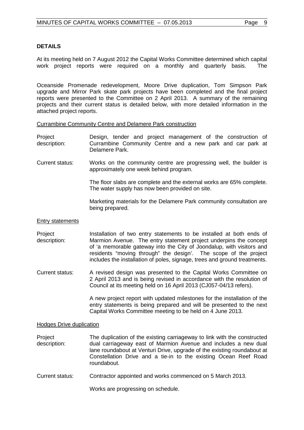# **DETAILS**

At its meeting held on 7 August 2012 the Capital Works Committee determined which capital work project reports were required on a monthly and quarterly basis. The

Oceanside Promenade redevelopment, Moore Drive duplication, Tom Simpson Park upgrade and Mirror Park skate park projects have been completed and the final project reports were presented to the Committee on 2 April 2013. A summary of the remaining projects and their current status is detailed below, with more detailed information in the attached project reports.

Currambine Community Centre and Delamere Park construction

- Project description: Design, tender and project management of the construction of Currambine Community Centre and a new park and car park at Delamere Park.
- Current status: Works on the community centre are progressing well, the builder is approximately one week behind program.

The floor slabs are complete and the external works are 65% complete. The water supply has now been provided on site.

Marketing materials for the Delamere Park community consultation are being prepared.

# Entry statements

Project description: Installation of two entry statements to be installed at both ends of Marmion Avenue. The entry statement project underpins the concept of 'a memorable gateway into the City of Joondalup, with visitors and residents "moving through" the design'. The scope of the project includes the installation of poles, signage, trees and ground treatments.

Current status: A revised design was presented to the Capital Works Committee on 2 April 2013 and is being revised in accordance with the resolution of Council at its meeting held on 16 April 2013 (CJ057-04/13 refers).

> A new project report with updated milestones for the installation of the entry statements is being prepared and will be presented to the next Capital Works Committee meeting to be held on 4 June 2013.

# Hodges Drive duplication

Project description: The duplication of the existing carriageway to link with the constructed dual carriageway east of Marmion Avenue and includes a new dual lane roundabout at Venturi Drive, upgrade of the existing roundabout at Constellation Drive and a tie-in to the existing Ocean Reef Road roundabout.

Current status: Contractor appointed and works commenced on 5 March 2013.

Works are progressing on schedule.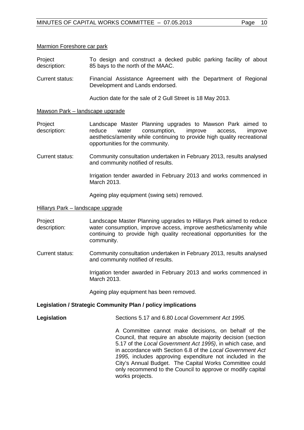#### Marmion Foreshore car park

- Project description: To design and construct a decked public parking facility of about 85 bays to the north of the MAAC.
- Current status: Financial Assistance Agreement with the Department of Regional Development and Lands endorsed.

Auction date for the sale of 2 Gull Street is 18 May 2013.

#### Mawson Park – landscape upgrade

Project description: Landscape Master Planning upgrades to Mawson Park aimed to reduce water consumption, improve access, improve aesthetics/amenity while continuing to provide high quality recreational opportunities for the community.

Current status: Community consultation undertaken in February 2013, results analysed and community notified of results.

> Irrigation tender awarded in February 2013 and works commenced in March 2013.

Ageing play equipment (swing sets) removed.

#### Hillarys Park – landscape upgrade

Project description: Landscape Master Planning upgrades to Hillarys Park aimed to reduce water consumption, improve access, improve aesthetics/amenity while continuing to provide high quality recreational opportunities for the community.

Current status: Community consultation undertaken in February 2013, results analysed and community notified of results.

> Irrigation tender awarded in February 2013 and works commenced in March 2013.

Ageing play equipment has been removed.

#### **Legislation / Strategic Community Plan / policy implications**

**Legislation** Sections 5.17 and 6.80 *Local Government Act 1995.*

A Committee cannot make decisions, on behalf of the Council, that require an absolute majority decision (section 5.17 of the *Local Government Act 1995)*, in which case, and in accordance with Section 6.8 of the *Local Government Act 1995,* includes approving expenditure not included in the City's Annual Budget. The Capital Works Committee could only recommend to the Council to approve or modify capital works projects.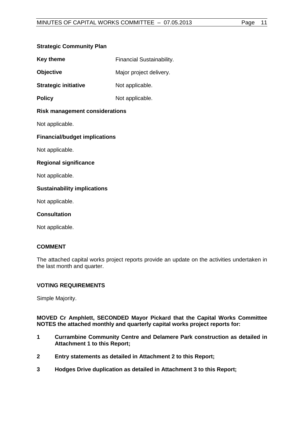# **Strategic Community Plan**

| <b>Key theme</b> | <b>Financial Sustainability.</b> |
|------------------|----------------------------------|
|------------------|----------------------------------|

**Objective** Major project delivery.

**Strategic initiative** Not applicable.

**Policy** Not applicable.

# **Risk management considerations**

Not applicable.

# **Financial/budget implications**

Not applicable.

# **Regional significance**

Not applicable.

# **Sustainability implications**

Not applicable.

# **Consultation**

Not applicable.

# **COMMENT**

The attached capital works project reports provide an update on the activities undertaken in the last month and quarter.

# **VOTING REQUIREMENTS**

Simple Majority.

**MOVED Cr Amphlett, SECONDED Mayor Pickard that the Capital Works Committee NOTES the attached monthly and quarterly capital works project reports for:**

- **1 Currambine Community Centre and Delamere Park construction as detailed in Attachment 1 to this Report;**
- **2 Entry statements as detailed in Attachment 2 to this Report;**
- **3 Hodges Drive duplication as detailed in Attachment 3 to this Report;**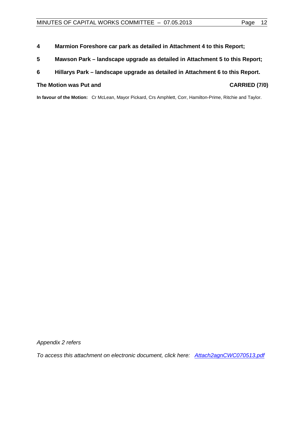- **4 Marmion Foreshore car park as detailed in Attachment 4 to this Report;**
- **5 Mawson Park – landscape upgrade as detailed in Attachment 5 to this Report;**

# **6 Hillarys Park – landscape upgrade as detailed in Attachment 6 to this Report.**

# The Motion was Put and **CARRIED** (7/0)

**In favour of the Motion:** Cr McLean, Mayor Pickard, Crs Amphlett, Corr, Hamilton-Prime, Ritchie and Taylor.

*Appendix 2 refers*

*To access this attachment on electronic document, click he[re: Attach2agnCWC070513.pdf](http://www.joondalup.wa.gov.au/files/committees/CWOC/2013/Attach2agnCWC070513.pdf)*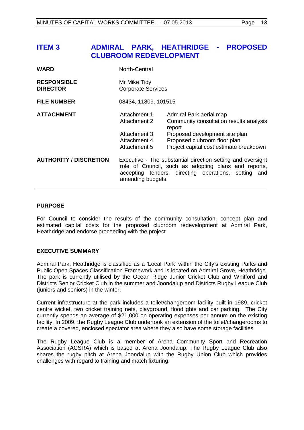# <span id="page-12-0"></span>**ITEM 3 ADMIRAL PARK, HEATHRIDGE - PROPOSED CLUBROOM REDEVELOPMENT**

| WARD                                  | North-Central                                                                                                                                                                                    |                                                                                                                                                                                           |  |
|---------------------------------------|--------------------------------------------------------------------------------------------------------------------------------------------------------------------------------------------------|-------------------------------------------------------------------------------------------------------------------------------------------------------------------------------------------|--|
| <b>RESPONSIBLE</b><br><b>DIRECTOR</b> | Mr Mike Tidy<br><b>Corporate Services</b>                                                                                                                                                        |                                                                                                                                                                                           |  |
| <b>FILE NUMBER</b>                    | 08434, 11809, 101515                                                                                                                                                                             |                                                                                                                                                                                           |  |
| <b>ATTACHMENT</b>                     | Attachment 1<br>Attachment 2<br>Attachment 3<br>Attachment 4<br>Attachment 5                                                                                                                     | Admiral Park aerial map<br>Community consultation results analysis<br>report<br>Proposed development site plan<br>Proposed clubroom floor plan<br>Project capital cost estimate breakdown |  |
| <b>AUTHORITY / DISCRETION</b>         | Executive - The substantial direction setting and oversight<br>role of Council, such as adopting plans and reports,<br>accepting tenders, directing operations, setting and<br>amending budgets. |                                                                                                                                                                                           |  |

# **PURPOSE**

For Council to consider the results of the community consultation, concept plan and estimated capital costs for the proposed clubroom redevelopment at Admiral Park, Heathridge and endorse proceeding with the project.

# **EXECUTIVE SUMMARY**

Admiral Park, Heathridge is classified as a 'Local Park' within the City's existing Parks and Public Open Spaces Classification Framework and is located on Admiral Grove, Heathridge. The park is currently utilised by the Ocean Ridge Junior Cricket Club and Whitford and Districts Senior Cricket Club in the summer and Joondalup and Districts Rugby League Club (juniors and seniors) in the winter.

Current infrastructure at the park includes a toilet/changeroom facility built in 1989, cricket centre wicket, two cricket training nets, playground, floodlights and car parking. The City currently spends an average of \$21,000 on operating expenses per annum on the existing facility. In 2009, the Rugby League Club undertook an extension of the toilet/changerooms to create a covered, enclosed spectator area where they also have some storage facilities.

The Rugby League Club is a member of Arena Community Sport and Recreation Association (ACSRA) which is based at Arena Joondalup. The Rugby League Club also shares the rugby pitch at Arena Joondalup with the Rugby Union Club which provides challenges with regard to training and match fixturing.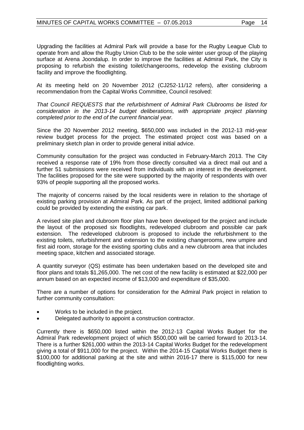Upgrading the facilities at Admiral Park will provide a base for the Rugby League Club to operate from and allow the Rugby Union Club to be the sole winter user group of the playing surface at Arena Joondalup. In order to improve the facilities at Admiral Park, the City is proposing to refurbish the existing toilet/changerooms, redevelop the existing clubroom facility and improve the floodlighting.

At its meeting held on 20 November 2012 (CJ252-11/12 refers), after considering a recommendation from the Capital Works Committee, Council resolved:

*That Council REQUESTS that the refurbishment of Admiral Park Clubrooms be listed for consideration in the 2013-14 budget deliberations, with appropriate project planning completed prior to the end of the current financial year.*

Since the 20 November 2012 meeting, \$650,000 was included in the 2012-13 mid-year review budget process for the project. The estimated project cost was based on a preliminary sketch plan in order to provide general initial advice.

Community consultation for the project was conducted in February-March 2013. The City received a response rate of 19% from those directly consulted via a direct mail out and a further 51 submissions were received from individuals with an interest in the development. The facilities proposed for the site were supported by the majority of respondents with over 93% of people supporting all the proposed works.

The majority of concerns raised by the local residents were in relation to the shortage of existing parking provision at Admiral Park. As part of the project, limited additional parking could be provided by extending the existing car park.

A revised site plan and clubroom floor plan have been developed for the project and include the layout of the proposed six floodlights, redeveloped clubroom and possible car park extension. The redeveloped clubroom is proposed to include the refurbishment to the existing toilets, refurbishment and extension to the existing changerooms, new umpire and first aid room, storage for the existing sporting clubs and a new clubroom area that includes meeting space, kitchen and associated storage.

A quantity surveyor (QS) estimate has been undertaken based on the developed site and floor plans and totals \$1,265,000. The net cost of the new facility is estimated at \$22,000 per annum based on an expected income of \$13,000 and expenditure of \$35,000.

There are a number of options for consideration for the Admiral Park project in relation to further community consultation:

- Works to be included in the project.
- Delegated authority to appoint a construction contractor.

Currently there is \$650,000 listed within the 2012-13 Capital Works Budget for the Admiral Park redevelopment project of which \$500,000 will be carried forward to 2013-14. There is a further \$261,000 within the 2013-14 Capital Works Budget for the redevelopment giving a total of \$911,000 for the project. Within the 2014-15 Capital Works Budget there is \$100,000 for additional parking at the site and within 2016-17 there is \$115,000 for new floodlighting works.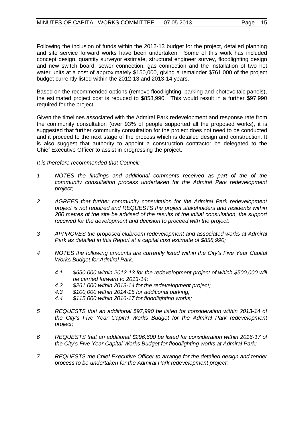Following the inclusion of funds within the 2012-13 budget for the project, detailed planning and site service forward works have been undertaken. Some of this work has included concept design, quantity surveyor estimate, structural engineer survey, floodlighting design and new switch board, sewer connection, gas connection and the installation of two hot water units at a cost of approximately \$150,000, giving a remainder \$761,000 of the project budget currently listed within the 2012-13 and 2013-14 years.

Based on the recommended options (remove floodlighting, parking and photovoltaic panels), the estimated project cost is reduced to \$858,990. This would result in a further \$97,990 required for the project.

Given the timelines associated with the Admiral Park redevelopment and response rate from the community consultation (over 93% of people supported all the proposed works), it is suggested that further community consultation for the project does not need to be conducted and it proceed to the next stage of the process which is detailed design and construction. It is also suggest that authority to appoint a construction contractor be delegated to the Chief Executive Officer to assist in progressing the project.

*It is therefore recommended that Council:*

- *1 NOTES the findings and additional comments received as part of the of the community consultation process undertaken for the Admiral Park redevelopment project;*
- *2 AGREES that further community consultation for the Admiral Park redevelopment project is not required and REQUESTS the project stakeholders and residents within 200 metres of the site be advised of the results of the initial consultation, the support received for the development and decision to proceed with the project;*
- *3 APPROVES the proposed clubroom redevelopment and associated works at Admiral Park as detailed in this Report at a capital cost estimate of \$858,990;*
- *4 NOTES the following amounts are currently listed within the City's Five Year Capital Works Budget for Admiral Park:*
	- *4.1 \$650,000 within 2012-13 for the redevelopment project of which \$500,000 will be carried forward to 2013-14;*
	- *4.2 \$261,000 within 2013-14 for the redevelopment project;*
	- *4.3 \$100,000 within 2014-15 for additional parking;*
	- *4.4 \$115,000 within 2016-17 for floodlighting works;*
- *5 REQUESTS that an additional \$97,990 be listed for consideration within 2013-14 of the City's Five Year Capital Works Budget for the Admiral Park redevelopment project;*
- *6 REQUESTS that an additional \$296,600 be listed for consideration within 2016-17 of the City's Five Year Capital Works Budget for floodlighting works at Admiral Park;*
- *7 REQUESTS the Chief Executive Officer to arrange for the detailed design and tender process to be undertaken for the Admiral Park redevelopment project;*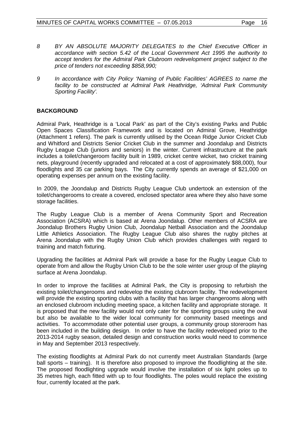- *8 BY AN ABSOLUTE MAJORITY DELEGATES to the Chief Executive Officer in accordance with section 5.42 of the Local Government Act 1995 the authority to accept tenders for the Admiral Park Clubroom redevelopment project subject to the price of tenders not exceeding \$858,990;*
- *9 In accordance with City Policy 'Naming of Public Facilities' AGREES to name the facility to be constructed at Admiral Park Heathridge, 'Admiral Park Community Sporting Facility'.*

# **BACKGROUND**

Admiral Park, Heathridge is a 'Local Park' as part of the City's existing Parks and Public Open Spaces Classification Framework and is located on Admiral Grove, Heathridge (Attachment 1 refers). The park is currently utilised by the Ocean Ridge Junior Cricket Club and Whitford and Districts Senior Cricket Club in the summer and Joondalup and Districts Rugby League Club (juniors and seniors) in the winter. Current infrastructure at the park includes a toilet/changeroom facility built in 1989, cricket centre wicket, two cricket training nets, playground (recently upgraded and relocated at a cost of approximately \$88,000), four floodlights and 35 car parking bays. The City currently spends an average of \$21,000 on operating expenses per annum on the existing facility.

In 2009, the Joondalup and Districts Rugby League Club undertook an extension of the toilet/changerooms to create a covered, enclosed spectator area where they also have some storage facilities.

The Rugby League Club is a member of Arena Community Sport and Recreation Association (ACSRA) which is based at Arena Joondalup. Other members of ACSRA are Joondalup Brothers Rugby Union Club, Joondalup Netball Association and the Joondalup Little Athletics Association. The Rugby League Club also shares the rugby pitches at Arena Joondalup with the Rugby Union Club which provides challenges with regard to training and match fixturing.

Upgrading the facilities at Admiral Park will provide a base for the Rugby League Club to operate from and allow the Rugby Union Club to be the sole winter user group of the playing surface at Arena Joondalup.

In order to improve the facilities at Admiral Park, the City is proposing to refurbish the existing toilet/changerooms and redevelop the existing clubroom facility. The redevelopment will provide the existing sporting clubs with a facility that has larger changerooms along with an enclosed clubroom including meeting space, a kitchen facility and appropriate storage. It is proposed that the new facility would not only cater for the sporting groups using the oval but also be available to the wider local community for community based meetings and activities. To accommodate other potential user groups, a community group storeroom has been included in the building design. In order to have the facility redeveloped prior to the 2013-2014 rugby season, detailed design and construction works would need to commence in May and September 2013 respectively.

The existing floodlights at Admiral Park do not currently meet Australian Standards (large ball sports – training). It is therefore also proposed to improve the floodlighting at the site. The proposed floodlighting upgrade would involve the installation of six light poles up to 35 metres high, each fitted with up to four floodlights. The poles would replace the existing four, currently located at the park.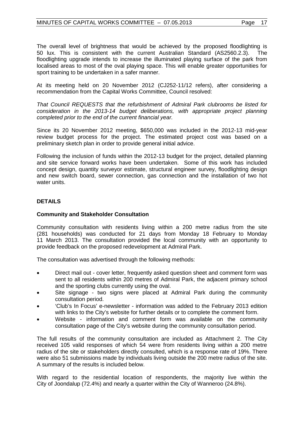The overall level of brightness that would be achieved by the proposed floodlighting is 50 lux. This is consistent with the current Australian Standard (AS2560.2.3). The floodlighting upgrade intends to increase the illuminated playing surface of the park from localised areas to most of the oval playing space. This will enable greater opportunities for sport training to be undertaken in a safer manner.

At its meeting held on 20 November 2012 (CJ252-11/12 refers), after considering a recommendation from the Capital Works Committee, Council resolved:

*That Council REQUESTS that the refurbishment of Admiral Park clubrooms be listed for consideration in the 2013-14 budget deliberations, with appropriate project planning completed prior to the end of the current financial year.*

Since its 20 November 2012 meeting, \$650,000 was included in the 2012-13 mid-year review budget process for the project. The estimated project cost was based on a preliminary sketch plan in order to provide general initial advice.

Following the inclusion of funds within the 2012-13 budget for the project, detailed planning and site service forward works have been undertaken. Some of this work has included concept design, quantity surveyor estimate, structural engineer survey, floodlighting design and new switch board, sewer connection, gas connection and the installation of two hot water units.

# **DETAILS**

# **Community and Stakeholder Consultation**

Community consultation with residents living within a 200 metre radius from the site (281 households) was conducted for 21 days from Monday 18 February to Monday 11 March 2013. The consultation provided the local community with an opportunity to provide feedback on the proposed redevelopment at Admiral Park.

The consultation was advertised through the following methods:

- Direct mail out cover letter, frequently asked question sheet and comment form was sent to all residents within 200 metres of Admiral Park, the adjacent primary school and the sporting clubs currently using the oval.
- Site signage two signs were placed at Admiral Park during the community consultation period.
- 'Club's In Focus' e-newsletter information was added to the February 2013 edition with links to the City's website for further details or to complete the comment form.
- Website information and comment form was available on the community consultation page of the City's website during the community consultation period.

The full results of the community consultation are included as Attachment 2. The City received 105 valid responses of which 54 were from residents living within a 200 metre radius of the site or stakeholders directly consulted, which is a response rate of 19%. There were also 51 submissions made by individuals living outside the 200 metre radius of the site. A summary of the results is included below.

With regard to the residential location of respondents, the majority live within the City of Joondalup (72.4%) and nearly a quarter within the City of Wanneroo (24.8%).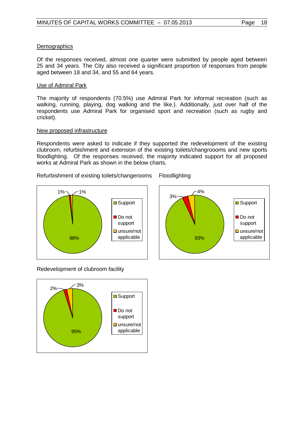# **Demographics**

Of the responses received, almost one quarter were submitted by people aged between 25 and 34 years. The City also received a significant proportion of responses from people aged between 18 and 34, and 55 and 64 years.

# Use of Admiral Park

The majority of respondents (70.5%) use Admiral Park for informal recreation (such as walking, running, playing, dog walking and the like.). Additionally, just over half of the respondents use Admiral Park for organised sport and recreation (such as rugby and cricket).

# New proposed infrastructure

Respondents were asked to indicate if they supported the redevelopment of the existing clubroom, refurbishment and extension of the existing toilets/changroooms and new sports floodlighting. Of the responses received, the majority indicated support for all proposed works at Admiral Park as shown in the below charts.

Refurbishment of existing toilets/changerooms Floodlighting





Redevelopment of clubroom facility

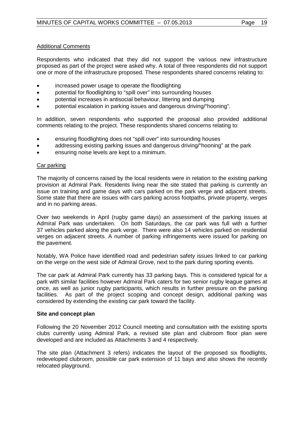# Additional Comments

Respondents who indicated that they did not support the various new infrastructure proposed as part of the project were asked why. A total of three respondents did not support one or more of the infrastructure proposed. These respondents shared concerns relating to:

- increased power usage to operate the floodlighting
- potential for floodlighting to "spill over" into surrounding houses
- potential increases in antisocial behaviour, littering and dumping
- potential escalation in parking issues and dangerous driving/"hooning".

In addition, seven respondents who supported the proposal also provided additional comments relating to the project. These respondents shared concerns relating to:

- ensuring floodlighting does not "spill over" into surrounding houses
- addressing existing parking issues and dangerous driving/"hooning" at the park
- ensuring noise levels are kept to a minimum.

# Car parking

The majority of concerns raised by the local residents were in relation to the existing parking provision at Admiral Park. Residents living near the site stated that parking is currently an issue on training and game days with cars parked on the park verge and adjacent streets. Some state that there are issues with cars parking across footpaths, private property, verges and in no parking areas.

Over two weekends in April (rugby game days) an assessment of the parking issues at Admiral Park was undertaken. On both Saturdays, the car park was full with a further 37 vehicles parked along the park verge. There were also 14 vehicles parked on residential verges on adjacent streets. A number of parking infringements were issued for parking on the pavement.

Notably, WA Police have identified road and pedestrian safety issues linked to car parking on the verge on the west side of Admiral Grove, next to the park during sporting events.

The car park at Admiral Park currently has 33 parking bays. This is considered typical for a park with similar facilities however Admiral Park caters for two senior rugby league games at once, as well as junior rugby participants, which results in further pressure on the parking facilities. As part of the project scoping and concept design, additional parking was considered by extending the existing car park toward the facility.

# **Site and concept plan**

Following the 20 November 2012 Council meeting and consultation with the existing sports clubs currently using Admiral Park, a revised site plan and clubroom floor plan were developed and are included as Attachments 3 and 4 respectively.

The site plan (Attachment 3 refers) indicates the layout of the proposed six floodlights, redeveloped clubroom, possible car park extension of 11 bays and also shows the recently relocated playground.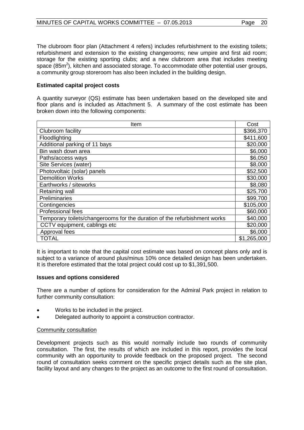The clubroom floor plan (Attachment 4 refers) includes refurbishment to the existing toilets; refurbishment and extension to the existing changerooms; new umpire and first aid room; storage for the existing sporting clubs; and a new clubroom area that includes meeting space (85 $m<sup>2</sup>$ ), kitchen and associated storage. To accommodate other potential user groups, a community group storeroom has also been included in the building design.

# **Estimated capital project costs**

A quantity surveyor (QS) estimate has been undertaken based on the developed site and floor plans and is included as Attachment 5. A summary of the cost estimate has been broken down into the following components:

| Item                                                                      |             |  |
|---------------------------------------------------------------------------|-------------|--|
| Clubroom facility                                                         | \$366,370   |  |
| Floodlighting                                                             | \$411,600   |  |
| Additional parking of 11 bays                                             | \$20,000    |  |
| Bin wash down area                                                        | \$6,000     |  |
| Paths/access ways                                                         | \$6,050     |  |
| Site Services (water)                                                     | \$8,000     |  |
| Photovoltaic (solar) panels                                               | \$52,500    |  |
| <b>Demolition Works</b>                                                   | \$30,000    |  |
| Earthworks / siteworks                                                    | \$8,080     |  |
| Retaining wall                                                            | \$25,700    |  |
| Preliminaries                                                             | \$99,700    |  |
| Contingencies                                                             | \$105,000   |  |
| Professional fees                                                         | \$60,000    |  |
| Temporary toilets/changerooms for the duration of the refurbishment works | \$40,000    |  |
| CCTV equipment, cablings etc                                              | \$20,000    |  |
| Approval fees                                                             | \$6,000     |  |
| <b>TOTAL</b>                                                              | \$1,265,000 |  |

It is important to note that the capital cost estimate was based on concept plans only and is subject to a variance of around plus/minus 10% once detailed design has been undertaken. It is therefore estimated that the total project could cost up to \$1,391,500.

# **Issues and options considered**

There are a number of options for consideration for the Admiral Park project in relation to further community consultation:

- Works to be included in the project.
- Delegated authority to appoint a construction contractor.

# Community consultation

Development projects such as this would normally include two rounds of community consultation. The first, the results of which are included in this report, provides the local community with an opportunity to provide feedback on the proposed project. The second round of consultation seeks comment on the specific project details such as the site plan, facility layout and any changes to the project as an outcome to the first round of consultation.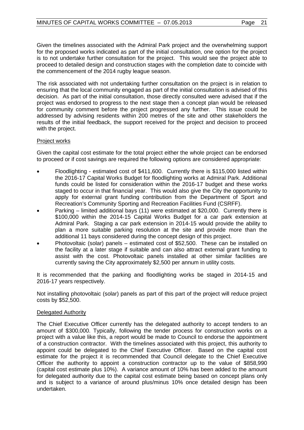Given the timelines associated with the Admiral Park project and the overwhelming support for the proposed works indicated as part of the initial consultation, one option for the project is to not undertake further consultation for the project. This would see the project able to proceed to detailed design and construction stages with the completion date to coincide with the commencement of the 2014 rugby league season.

The risk associated with not undertaking further consultation on the project is in relation to ensuring that the local community engaged as part of the initial consultation is advised of this decision. As part of the initial consultation, those directly consulted were advised that if the project was endorsed to progress to the next stage then a concept plan would be released for community comment before the project progressed any further. This issue could be addressed by advising residents within 200 metres of the site and other stakeholders the results of the initial feedback, the support received for the project and decision to proceed with the project.

# Project works

Given the capital cost estimate for the total project either the whole project can be endorsed to proceed or if cost savings are required the following options are considered appropriate:

- Floodlighting estimated cost of \$411,600. Currently there is \$115,000 listed within the 2016-17 Capital Works Budget for floodlighting works at Admiral Park. Additional funds could be listed for consideration within the 2016-17 budget and these works staged to occur in that financial year. This would also give the City the opportunity to apply for external grant funding contribution from the Department of Sport and Recreation's Community Sporting and Recreation Facilities Fund (CSRFF).
- Parking limited additional bays (11) were estimated at \$20,000. Currently there is \$100,000 within the 2014-15 Capital Works Budget for a car park extension at Admiral Park. Staging a car park extension in 2014-15 would provide the ability to plan a more suitable parking resolution at the site and provide more than the additional 11 bays considered during the concept design of this project.
- Photovoltaic (solar) panels estimated cost of \$52,500. These can be installed on the facility at a later stage if suitable and can also attract external grant funding to assist with the cost. Photovoltaic panels installed at other similar facilities are currently saving the City approximately \$2,500 per annum in utility costs.

It is recommended that the parking and floodlighting works be staged in 2014-15 and 2016-17 years respectively.

Not installing photovoltaic (solar) panels as part of this part of the project will reduce project costs by \$52,500.

# Delegated Authority

The Chief Executive Officer currently has the delegated authority to accept tenders to an amount of \$300,000. Typically, following the tender process for construction works on a project with a value like this, a report would be made to Council to endorse the appointment of a construction contractor. With the timelines associated with this project, this authority to appoint could be delegated to the Chief Executive Officer. Based on the capital cost estimate for the project it is recommended that Council delegate to the Chief Executive Officer the authority to appoint a construction contractor up to the value of \$858,990 (capital cost estimate plus 10%). A variance amount of 10% has been added to the amount for delegated authority due to the capital cost estimate being based on concept plans only and is subject to a variance of around plus/minus 10% once detailed design has been undertaken.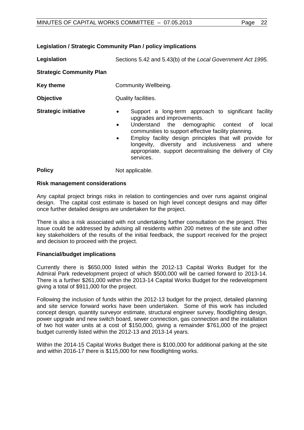# **Legislation** Sections 5.42 and 5.43(b) of the *Local Government Act 1995.* **Strategic Community Plan Key theme Community Wellbeing. Objective** Quality facilities. **Strategic initiative •** Support a long-term approach to significant facility upgrades and improvements. Understand the demographic context of local communities to support effective facility planning. services. **Policy** Not applicable.

# **Risk management considerations**

Any capital project brings risks in relation to contingencies and over runs against original design. The capital cost estimate is based on high level concept designs and may differ once further detailed designs are undertaken for the project.

There is also a risk associated with not undertaking further consultation on the project. This issue could be addressed by advising all residents within 200 metres of the site and other key stakeholders of the results of the initial feedback, the support received for the project and decision to proceed with the project.

# **Financial/budget implications**

Currently there is \$650,000 listed within the 2012-13 Capital Works Budget for the Admiral Park redevelopment project of which \$500,000 will be carried forward to 2013-14. There is a further \$261,000 within the 2013-14 Capital Works Budget for the redevelopment giving a total of \$911,000 for the project.

Following the inclusion of funds within the 2012-13 budget for the project, detailed planning and site service forward works have been undertaken. Some of this work has included concept design, quantity surveyor estimate, structural engineer survey, floodlighting design, power upgrade and new switch board, sewer connection, gas connection and the installation of two hot water units at a cost of \$150,000, giving a remainder \$761,000 of the project budget currently listed within the 2012-13 and 2013-14 years.

Within the 2014-15 Capital Works Budget there is \$100,000 for additional parking at the site and within 2016-17 there is \$115,000 for new floodlighting works.

# **Legislation / Strategic Community Plan / policy implications**

• Employ facility design principles that will provide for longevity, diversity and inclusiveness and where appropriate, support decentralising the delivery of City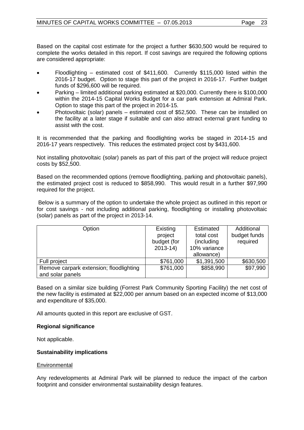Based on the capital cost estimate for the project a further \$630,500 would be required to complete the works detailed in this report. If cost savings are required the following options are considered appropriate:

- Floodlighting estimated cost of \$411,600. Currently \$115,000 listed within the 2016-17 budget. Option to stage this part of the project in 2016-17. Further budget funds of \$296,600 will be required.
- Parking limited additional parking estimated at \$20,000. Currently there is \$100,000 within the 2014-15 Capital Works Budget for a car park extension at Admiral Park. Option to stage this part of the project in 2014-15.
- Photovoltaic (solar) panels estimated cost of \$52,500. These can be installed on the facility at a later stage if suitable and can also attract external grant funding to assist with the cost.

It is recommended that the parking and floodlighting works be staged in 2014-15 and 2016-17 years respectively. This reduces the estimated project cost by \$431,600.

Not installing photovoltaic (solar) panels as part of this part of the project will reduce project costs by \$52,500.

Based on the recommended options (remove floodlighting, parking and photovoltaic panels), the estimated project cost is reduced to \$858,990. This would result in a further \$97,990 required for the project.

Below is a summary of the option to undertake the whole project as outlined in this report or for cost savings - not including additional parking, floodlighting or installing photovoltaic (solar) panels as part of the project in 2013-14.

| Option                                  | Existing    | Estimated    | Additional   |
|-----------------------------------------|-------------|--------------|--------------|
|                                         | project     | total cost   | budget funds |
|                                         | budget (for | (including)  | required     |
|                                         | $2013 - 14$ | 10% variance |              |
|                                         |             | allowance)   |              |
| Full project                            | \$761,000   | \$1,391,500  | \$630,500    |
| Remove carpark extension; floodlighting | \$761,000   | \$858,990    | \$97,990     |
| and solar panels                        |             |              |              |

Based on a similar size building (Forrest Park Community Sporting Facility) the net cost of the new facility is estimated at \$22,000 per annum based on an expected income of \$13,000 and expenditure of \$35,000.

All amounts quoted in this report are exclusive of GST.

# **Regional significance**

Not applicable.

# **Sustainability implications**

# **Environmental**

Any redevelopments at Admiral Park will be planned to reduce the impact of the carbon footprint and consider environmental sustainability design features.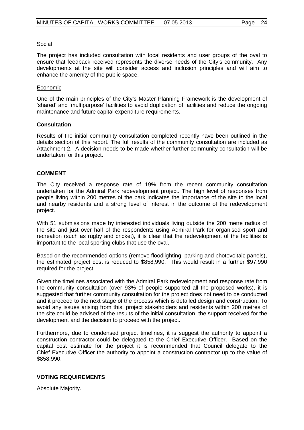# Social

The project has included consultation with local residents and user groups of the oval to ensure that feedback received represents the diverse needs of the City's community. Any developments at the site will consider access and inclusion principles and will aim to enhance the amenity of the public space.

# Economic

One of the main principles of the City's Master Planning Framework is the development of 'shared' and 'multipurpose' facilities to avoid duplication of facilities and reduce the ongoing maintenance and future capital expenditure requirements.

# **Consultation**

Results of the initial community consultation completed recently have been outlined in the details section of this report. The full results of the community consultation are included as Attachment 2. A decision needs to be made whether further community consultation will be undertaken for this project.

# **COMMENT**

The City received a response rate of 19% from the recent community consultation undertaken for the Admiral Park redevelopment project. The high level of responses from people living within 200 metres of the park indicates the importance of the site to the local and nearby residents and a strong level of interest in the outcome of the redevelopment project.

With 51 submissions made by interested individuals living outside the 200 metre radius of the site and just over half of the respondents using Admiral Park for organised sport and recreation (such as rugby and cricket), it is clear that the redevelopment of the facilities is important to the local sporting clubs that use the oval.

Based on the recommended options (remove floodlighting, parking and photovoltaic panels), the estimated project cost is reduced to \$858,990. This would result in a further \$97,990 required for the project.

Given the timelines associated with the Admiral Park redevelopment and response rate from the community consultation (over 93% of people supported all the proposed works), it is suggested that further community consultation for the project does not need to be conducted and it proceed to the next stage of the process which is detailed design and construction. To avoid any issues arising from this, project stakeholders and residents within 200 metres of the site could be advised of the results of the initial consultation, the support received for the development and the decision to proceed with the project.

Furthermore, due to condensed project timelines, it is suggest the authority to appoint a construction contractor could be delegated to the Chief Executive Officer. Based on the capital cost estimate for the project it is recommended that Council delegate to the Chief Executive Officer the authority to appoint a construction contractor up to the value of \$858,990.

# **VOTING REQUIREMENTS**

Absolute Majority.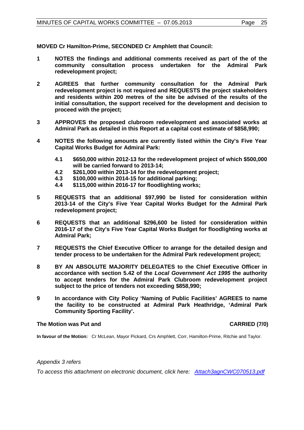**MOVED Cr Hamilton-Prime, SECONDED Cr Amphlett that Council:**

- **1 NOTES the findings and additional comments received as part of the of the community consultation process undertaken for the Admiral Park redevelopment project;**
- **2 AGREES that further community consultation for the Admiral Park redevelopment project is not required and REQUESTS the project stakeholders and residents within 200 metres of the site be advised of the results of the initial consultation, the support received for the development and decision to proceed with the project;**
- **3 APPROVES the proposed clubroom redevelopment and associated works at Admiral Park as detailed in this Report at a capital cost estimate of \$858,990;**
- **4 NOTES the following amounts are currently listed within the City's Five Year Capital Works Budget for Admiral Park:**
	- **4.1 \$650,000 within 2012-13 for the redevelopment project of which \$500,000 will be carried forward to 2013-14;**
	- **4.2 \$261,000 within 2013-14 for the redevelopment project;**
	- **4.3 \$100,000 within 2014-15 for additional parking;**
	- **4.4 \$115,000 within 2016-17 for floodlighting works;**
- **5 REQUESTS that an additional \$97,990 be listed for consideration within 2013-14 of the City's Five Year Capital Works Budget for the Admiral Park redevelopment project;**
- **6 REQUESTS that an additional \$296,600 be listed for consideration within 2016-17 of the City's Five Year Capital Works Budget for floodlighting works at Admiral Park;**
- **7 REQUESTS the Chief Executive Officer to arrange for the detailed design and tender process to be undertaken for the Admiral Park redevelopment project;**
- **8 BY AN ABSOLUTE MAJORITY DELEGATES to the Chief Executive Officer in accordance with section 5.42 of the** *Local Government Act 1995* **the authority to accept tenders for the Admiral Park Clubroom redevelopment project subject to the price of tenders not exceeding \$858,990;**
- **9 In accordance with City Policy 'Naming of Public Facilities' AGREES to name the facility to be constructed at Admiral Park Heathridge, 'Admiral Park Community Sporting Facility'.**

# **The Motion was Put and CARRIED (7/0)**

**In favour of the Motion:** Cr McLean, Mayor Pickard, Crs Amphlett, Corr, Hamilton-Prime, Ritchie and Taylor.

# *Appendix 3 refers*

*To access this attachment on electronic document, click he[re: Attach3agnCWC070513.pdf](http://www.joondalup.wa.gov.au/files/committees/CWOC/2013/Attach3agnCWC070513.pdf)*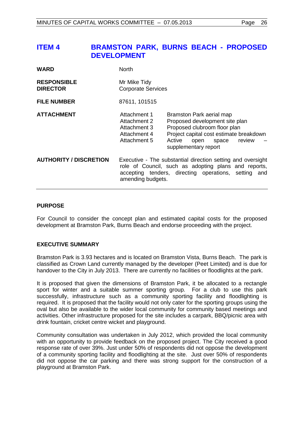# <span id="page-25-0"></span>**ITEM 4 BRAMSTON PARK, BURNS BEACH - PROPOSED DEVELOPMENT**

| <b>WARD</b>                           | <b>North</b>                                                                                                                                                                                     |                                                                                                                                                                                                    |  |
|---------------------------------------|--------------------------------------------------------------------------------------------------------------------------------------------------------------------------------------------------|----------------------------------------------------------------------------------------------------------------------------------------------------------------------------------------------------|--|
| <b>RESPONSIBLE</b><br><b>DIRECTOR</b> | Mr Mike Tidy<br><b>Corporate Services</b>                                                                                                                                                        |                                                                                                                                                                                                    |  |
| <b>FILE NUMBER</b>                    | 87611, 101515                                                                                                                                                                                    |                                                                                                                                                                                                    |  |
| <b>ATTACHMENT</b>                     | Attachment 1<br>Attachment 2<br>Attachment 3<br>Attachment 4<br>Attachment 5                                                                                                                     | Bramston Park aerial map<br>Proposed development site plan<br>Proposed clubroom floor plan<br>Project capital cost estimate breakdown<br>Active<br>review<br>open<br>space<br>supplementary report |  |
| <b>AUTHORITY / DISCRETION</b>         | Executive - The substantial direction setting and oversight<br>role of Council, such as adopting plans and reports,<br>accepting tenders, directing operations, setting and<br>amending budgets. |                                                                                                                                                                                                    |  |

# **PURPOSE**

For Council to consider the concept plan and estimated capital costs for the proposed development at Bramston Park, Burns Beach and endorse proceeding with the project.

# **EXECUTIVE SUMMARY**

Bramston Park is 3.93 hectares and is located on Bramston Vista, Burns Beach. The park is classified as Crown Land currently managed by the developer (Peet Limited) and is due for handover to the City in July 2013. There are currently no facilities or floodlights at the park.

It is proposed that given the dimensions of Bramston Park, it be allocated to a rectangle sport for winter and a suitable summer sporting group. For a club to use this park successfully, infrastructure such as a community sporting facility and floodlighting is required. It is proposed that the facility would not only cater for the sporting groups using the oval but also be available to the wider local community for community based meetings and activities. Other infrastructure proposed for the site includes a carpark, BBQ/picnic area with drink fountain, cricket centre wicket and playground.

Community consultation was undertaken in July 2012, which provided the local community with an opportunity to provide feedback on the proposed project. The City received a good response rate of over 39%. Just under 50% of respondents did not oppose the development of a community sporting facility and floodlighting at the site. Just over 50% of respondents did not oppose the car parking and there was strong support for the construction of a playground at Bramston Park.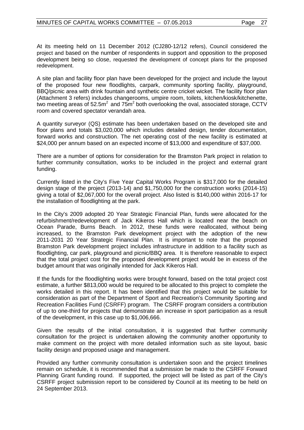At its meeting held on 11 December 2012 (CJ280-12/12 refers), Council considered the project and based on the number of respondents in support and opposition to the proposed development being so close, requested the development of concept plans for the proposed redevelopment.

A site plan and facility floor plan have been developed for the project and include the layout of the proposed four new floodlights, carpark, community sporting facility, playground, BBQ/picnic area with drink fountain and synthetic centre cricket wicket. The facility floor plan (Attachment 3 refers) includes changerooms, umpire room, toilets, kitchen/kiosk/kitchenette, two meeting areas of  $52.5m^2$  and  $75m^2$  both overlooking the oval, associated storage, CCTV room and covered spectator verandah area.

A quantity surveyor (QS) estimate has been undertaken based on the developed site and floor plans and totals \$3,020,000 which includes detailed design, tender documentation, forward works and construction. The net operating cost of the new facility is estimated at \$24,000 per annum based on an expected income of \$13,000 and expenditure of \$37,000.

There are a number of options for consideration for the Bramston Park project in relation to further community consultation, works to be included in the project and external grant funding.

Currently listed in the City's Five Year Capital Works Program is \$317,000 for the detailed design stage of the project (2013-14) and \$1,750,000 for the construction works (2014-15) giving a total of \$2,067,000 for the overall project. Also listed is \$140,000 within 2016-17 for the installation of floodlighting at the park.

In the City's 2009 adopted 20 Year Strategic Financial Plan, funds were allocated for the refurbishment/redevelopment of Jack Kikeros Hall which is located near the beach on Ocean Parade, Burns Beach. In 2012, these funds were reallocated, without being increased, to the Bramston Park development project with the adoption of the new 2011-2031 20 Year Strategic Financial Plan. It is important to note that the proposed Bramston Park development project includes infrastructure in addition to a facility such as floodlighting, car park, playground and picnic/BBQ area. It is therefore reasonable to expect that the total project cost for the proposed development project would be in excess of the budget amount that was originally intended for Jack Kikeros Hall.

If the funds for the floodlighting works were brought forward, based on the total project cost estimate, a further \$813,000 would be required to be allocated to this project to complete the works detailed in this report. It has been identified that this project would be suitable for consideration as part of the Department of Sport and Recreation's Community Sporting and Recreation Facilities Fund (CSRFF) program. The CSRFF program considers a contribution of up to one-third for projects that demonstrate an increase in sport participation as a result of the development, in this case up to \$1,006,666.

Given the results of the initial consultation, it is suggested that further community consultation for the project is undertaken allowing the community another opportunity to make comment on the project with more detailed information such as site layout, basic facility design and proposed usage and management.

Provided any further community consultation is undertaken soon and the project timelines remain on schedule, it is recommended that a submission be made to the CSRFF Forward Planning Grant funding round. If supported, the project will be listed as part of the City's CSRFF project submission report to be considered by Council at its meeting to be held on 24 September 2013.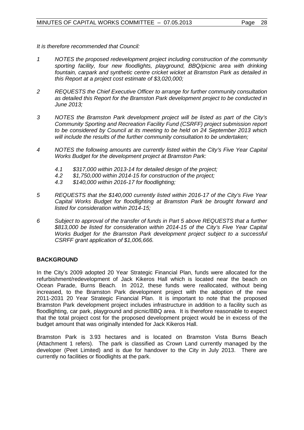*It is therefore recommended that Council:*

- *1 NOTES the proposed redevelopment project including construction of the community sporting facility, four new floodlights, playground, BBQ/picnic area with drinking fountain, carpark and synthetic centre cricket wicket at Bramston Park as detailed in this Report at a project cost estimate of \$3,020,000;*
- *2 REQUESTS the Chief Executive Officer to arrange for further community consultation as detailed this Report for the Bramston Park development project to be conducted in June 2013;*
- *3 NOTES the Bramston Park development project will be listed as part of the City's Community Sporting and Recreation Facility Fund (CSRFF) project submission report to be considered by Council at its meeting to be held on 24 September 2013 which will include the results of the further community consultation to be undertaken;*
- *4 NOTES the following amounts are currently listed within the City's Five Year Capital Works Budget for the development project at Bramston Park:*
	- *4.1 \$317,000 within 2013-14 for detailed design of the project;*
	- *4.2 \$1,750,000 within 2014-15 for construction of the project;*
	- *4.3 \$140,000 within 2016-17 for floodlighting;*
- *5 REQUESTS that the \$140,000 currently listed within 2016-17 of the City's Five Year Capital Works Budget for floodlighting at Bramston Park be brought forward and listed for consideration within 2014-15;*
- *6 Subject to approval of the transfer of funds in Part 5 above REQUESTS that a further \$813,000 be listed for consideration within 2014-15 of the City's Five Year Capital Works Budget for the Bramston Park development project subject to a successful CSRFF grant application of \$1,006,666.*

# **BACKGROUND**

In the City's 2009 adopted 20 Year Strategic Financial Plan, funds were allocated for the refurbishment/redevelopment of Jack Kikeros Hall which is located near the beach on Ocean Parade, Burns Beach. In 2012, these funds were reallocated, without being increased, to the Bramston Park development project with the adoption of the new 2011-2031 20 Year Strategic Financial Plan. It is important to note that the proposed Bramston Park development project includes infrastructure in addition to a facility such as floodlighting, car park, playground and picnic/BBQ area. It is therefore reasonable to expect that the total project cost for the proposed development project would be in excess of the budget amount that was originally intended for Jack Kikeros Hall.

Bramston Park is 3.93 hectares and is located on Bramston Vista Burns Beach (Attachment 1 refers). The park is classified as Crown Land currently managed by the developer (Peet Limited) and is due for handover to the City in July 2013. There are currently no facilities or floodlights at the park.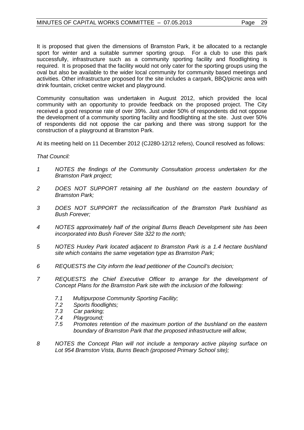It is proposed that given the dimensions of Bramston Park, it be allocated to a rectangle sport for winter and a suitable summer sporting group. For a club to use this park successfully, infrastructure such as a community sporting facility and floodlighting is required. It is proposed that the facility would not only cater for the sporting groups using the oval but also be available to the wider local community for community based meetings and activities. Other infrastructure proposed for the site includes a carpark, BBQ/picnic area with drink fountain, cricket centre wicket and playground.

Community consultation was undertaken in August 2012, which provided the local community with an opportunity to provide feedback on the proposed project. The City received a good response rate of over 39%. Just under 50% of respondents did not oppose the development of a community sporting facility and floodlighting at the site. Just over 50% of respondents did not oppose the car parking and there was strong support for the construction of a playground at Bramston Park.

At its meeting held on 11 December 2012 (CJ280-12/12 refers), Council resolved as follows:

*That Council:*

- *1 NOTES the findings of the Community Consultation process undertaken for the Bramston Park project;*
- *2 DOES NOT SUPPORT retaining all the bushland on the eastern boundary of Bramston Park;*
- *3 DOES NOT SUPPORT the reclassification of the Bramston Park bushland as Bush Forever;*
- *4 NOTES approximately half of the original Burns Beach Development site has been incorporated into Bush Forever Site 322 to the north;*
- *5 NOTES Huxley Park located adjacent to Bramston Park is a 1.4 hectare bushland site which contains the same vegetation type as Bramston Park;*
- *6 REQUESTS the City inform the lead petitioner of the Council's decision;*
- *7 REQUESTS the Chief Executive Officer to arrange for the development of Concept Plans for the Bramston Park site with the inclusion of the following:*
	- *7.1 Multipurpose Community Sporting Facility;*
	- *7.2 Sports floodlights;*
	- *7.3 Car parking;*
	- *7.4 Playground;*
	- *7.5 Promotes retention of the maximum portion of the bushland on the eastern boundary of Bramston Park that the proposed infrastructure will allow,*
- *8 NOTES the Concept Plan will not include a temporary active playing surface on Lot 954 Bramston Vista, Burns Beach (proposed Primary School site);*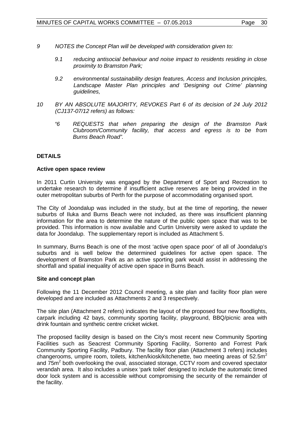- *9 NOTES the Concept Plan will be developed with consideration given to:*
	- *9.1 reducing antisocial behaviour and noise impact to residents residing in close proximity to Bramston Park;*
	- *9.2 environmental sustainability design features, Access and Inclusion principles, Landscape Master Plan principles and 'Designing out Crime' planning guidelines,*
- *10 BY AN ABSOLUTE MAJORITY, REVOKES Part 6 of its decision of 24 July 2012 (CJ137-07/12 refers) as follows:*
	- *"6 REQUESTS that when preparing the design of the Bramston Park Clubroom/Community facility, that access and egress is to be from Burns Beach Road".*

# **DETAILS**

# **Active open space review**

In 2011 Curtin University was engaged by the Department of Sport and Recreation to undertake research to determine if insufficient active reserves are being provided in the outer metropolitan suburbs of Perth for the purpose of accommodating organised sport.

The City of Joondalup was included in the study, but at the time of reporting, the newer suburbs of Iluka and Burns Beach were not included, as there was insufficient planning information for the area to determine the nature of the public open space that was to be provided. This information is now available and Curtin University were asked to update the data for Joondalup. The supplementary report is included as Attachment 5.

In summary, Burns Beach is one of the most 'active open space poor' of all of Joondalup's suburbs and is well below the determined guidelines for active open space. The development of Bramston Park as an active sporting park would assist in addressing the shortfall and spatial inequality of active open space in Burns Beach.

# **Site and concept plan**

Following the 11 December 2012 Council meeting, a site plan and facility floor plan were developed and are included as Attachments 2 and 3 respectively.

The site plan (Attachment 2 refers) indicates the layout of the proposed four new floodlights, carpark including 42 bays, community sporting facility, playground, BBQ/picnic area with drink fountain and synthetic centre cricket wicket.

The proposed facility design is based on the City's most recent new Community Sporting Facilities such as Seacrest Community Sporting Facility, Sorrento and Forrest Park Community Sporting Facility, Padbury. The facility floor plan (Attachment 3 refers) includes changerooms, umpire room, toilets, kitchen/kiosk/kitchenette, two meeting areas of  $52.5<sup>2</sup>$ and 75m<sup>2</sup> both overlooking the oval, associated storage, CCTV room and covered spectator verandah area. It also includes a unisex 'park toilet' designed to include the automatic timed door lock system and is accessible without compromising the security of the remainder of the facility.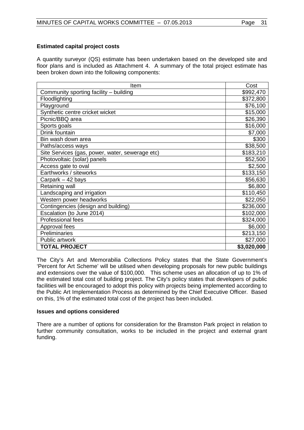# **Estimated capital project costs**

A quantity surveyor (QS) estimate has been undertaken based on the developed site and floor plans and is included as Attachment 4. A summary of the total project estimate has been broken down into the following components:

| Item                                            | Cost                |
|-------------------------------------------------|---------------------|
| Community sporting facility - building          | \$992,470           |
| Floodlighting                                   | \$372,800           |
| Playground                                      | \$76,100            |
| Synthetic centre cricket wicket                 | \$15,000            |
| Picnic/BBQ area                                 | \$26,390            |
| Sports goals                                    | \$16,000            |
| Drink fountain                                  | $\overline{$}7,000$ |
| Bin wash down area                              | \$300               |
| Paths/access ways                               | \$38,500            |
| Site Services (gas, power, water, sewerage etc) | \$183,210           |
| Photovoltaic (solar) panels                     | \$52,500            |
| Access gate to oval                             | \$2,500             |
| Earthworks / siteworks                          | \$133,150           |
| Carpark – 42 bays                               | \$56,630            |
| Retaining wall                                  | \$6,800             |
| Landscaping and irrigation                      | \$110,450           |
| Western power headworks                         | \$22,050            |
| Contingencies (design and building)             | \$236,000           |
| Escalation (to June 2014)                       | \$102,000           |
| Professional fees                               | \$324,000           |
| Approval fees                                   | \$6,000             |
| Preliminaries                                   | \$213,150           |
| Public artwork                                  | \$27,000            |
| <b>TOTAL PROJECT</b>                            | \$3,020,000         |

The City's Art and Memorabilia Collections Policy states that the State Government's 'Percent for Art Scheme' will be utilised when developing proposals for new public buildings and extensions over the value of \$100,000. This scheme uses an allocation of up to 1% of the estimated total cost of building project. The City's policy states that developers of public facilities will be encouraged to adopt this policy with projects being implemented according to the Public Art Implementation Process as determined by the Chief Executive Officer. Based on this, 1% of the estimated total cost of the project has been included.

# **Issues and options considered**

There are a number of options for consideration for the Bramston Park project in relation to further community consultation, works to be included in the project and external grant funding.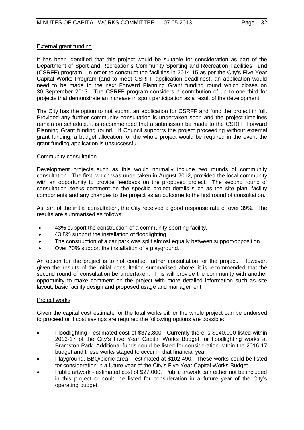# External grant funding

It has been identified that this project would be suitable for consideration as part of the Department of Sport and Recreation's Community Sporting and Recreation Facilities Fund (CSRFF) program. In order to construct the facilities in 2014-15 as per the City's Five Year Capital Works Program (and to meet CSRFF application deadlines), an application would need to be made to the next Forward Planning Grant funding round which closes on 30 September 2013. The CSRFF program considers a contribution of up to one-third for projects that demonstrate an increase in sport participation as a result of the development.

The City has the option to not submit an application for CSRFF and fund the project in full. Provided any further community consultation is undertaken soon and the project timelines remain on schedule, it is recommended that a submission be made to the CSRFF Forward Planning Grant funding round. If Council supports the project proceeding without external grant funding, a budget allocation for the whole project would be required in the event the grant funding application is unsuccessful.

# Community consultation

Development projects such as this would normally include two rounds of community consultation. The first, which was undertaken in August 2012, provided the local community with an opportunity to provide feedback on the proposed project. The second round of consultation seeks comment on the specific project details such as the site plan, facility components and any changes to the project as an outcome to the first round of consultation.

As part of the initial consultation, the City received a good response rate of over 39%. The results are summarised as follows:

- 43% support the construction of a community sporting facility.
- 43.8% support the installation of floodlighting.
- The construction of a car park was split almost equally between support/opposition.
- Over 70% support the installation of a playground.

An option for the project is to not conduct further consultation for the project. However, given the results of the initial consultation summarised above, it is recommended that the second round of consultation be undertaken. This will provide the community with another opportunity to make comment on the project with more detailed information such as site layout, basic facility design and proposed usage and management.

# Project works

Given the capital cost estimate for the total works either the whole project can be endorsed to proceed or if cost savings are required the following options are possible:

- Floodlighting estimated cost of \$372,800. Currently there is \$140,000 listed within 2016-17 of the City's Five Year Capital Works Budget for floodlighting works at Bramston Park. Additional funds could be listed for consideration within the 2016-17 budget and these works staged to occur in that financial year.
- Playground, BBQ/picnic area estimated at \$102,490. These works could be listed for consideration in a future year of the City's Five Year Capital Works Budget.
- Public artwork estimated cost of \$27,000. Public artwork can either not be included in this project or could be listed for consideration in a future year of the City's operating budget.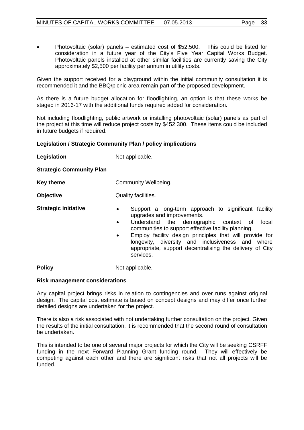• Photovoltaic (solar) panels – estimated cost of \$52,500. This could be listed for consideration in a future year of the City's Five Year Capital Works Budget. Photovoltaic panels installed at other similar facilities are currently saving the City approximately \$2,500 per facility per annum in utility costs.

Given the support received for a playground within the initial community consultation it is recommended it and the BBQ/picnic area remain part of the proposed development.

As there is a future budget allocation for floodlighting, an option is that these works be staged in 2016-17 with the additional funds required added for consideration.

Not including floodlighting, public artwork or installing photovoltaic (solar) panels as part of the project at this time will reduce project costs by \$452,300. These items could be included in future budgets if required.

# **Legislation / Strategic Community Plan / policy implications**

| Legislation                     | Not applicable.                                                                                                                                                                                                                                                                                                                                                                                    |  |  |
|---------------------------------|----------------------------------------------------------------------------------------------------------------------------------------------------------------------------------------------------------------------------------------------------------------------------------------------------------------------------------------------------------------------------------------------------|--|--|
| <b>Strategic Community Plan</b> |                                                                                                                                                                                                                                                                                                                                                                                                    |  |  |
| <b>Key theme</b>                | Community Wellbeing.                                                                                                                                                                                                                                                                                                                                                                               |  |  |
| <b>Objective</b>                | Quality facilities.                                                                                                                                                                                                                                                                                                                                                                                |  |  |
| <b>Strategic initiative</b>     | Support a long-term approach to significant facility<br>٠<br>upgrades and improvements.<br>Understand the demographic context of<br>local<br>٠<br>communities to support effective facility planning.<br>Employ facility design principles that will provide for<br>٠<br>longevity, diversity and inclusiveness and where<br>appropriate, support decentralising the delivery of City<br>services. |  |  |
| <b>Policy</b>                   | Not applicable.                                                                                                                                                                                                                                                                                                                                                                                    |  |  |

# **Risk management considerations**

Any capital project brings risks in relation to contingencies and over runs against original design. The capital cost estimate is based on concept designs and may differ once further detailed designs are undertaken for the project.

There is also a risk associated with not undertaking further consultation on the project. Given the results of the initial consultation, it is recommended that the second round of consultation be undertaken.

This is intended to be one of several major projects for which the City will be seeking CSRFF funding in the next Forward Planning Grant funding round. They will effectively be competing against each other and there are significant risks that not all projects will be funded.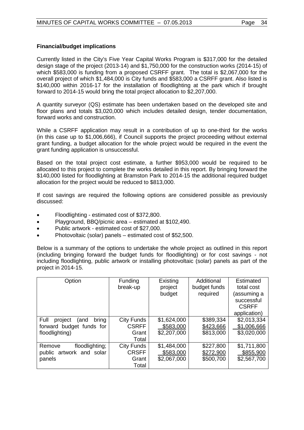# **Financial/budget implications**

Currently listed in the City's Five Year Capital Works Program is \$317,000 for the detailed design stage of the project (2013-14) and \$1,750,000 for the construction works (2014-15) of which \$583,000 is funding from a proposed CSRFF grant. The total is \$2,067,000 for the overall project of which \$1,484,000 is City funds and \$583,000 a CSRFF grant. Also listed is \$140,000 within 2016-17 for the installation of floodlighting at the park which if brought forward to 2014-15 would bring the total project allocation to \$2,207,000.

A quantity surveyor (QS) estimate has been undertaken based on the developed site and floor plans and totals \$3,020,000 which includes detailed design, tender documentation, forward works and construction.

While a CSRFF application may result in a contribution of up to one-third for the works (in this case up to \$1,006,666), if Council supports the project proceeding without external grant funding, a budget allocation for the whole project would be required in the event the grant funding application is unsuccessful.

Based on the total project cost estimate, a further \$953,000 would be required to be allocated to this project to complete the works detailed in this report. By bringing forward the \$140,000 listed for floodlighting at Bramston Park to 2014-15 the additional required budget allocation for the project would be reduced to \$813,000.

If cost savings are required the following options are considered possible as previously discussed:

- Floodlighting estimated cost of \$372,800.
- Playground, BBQ/picnic area estimated at \$102,490.
- Public artwork estimated cost of \$27,000.
- Photovoltaic (solar) panels estimated cost of \$52,500.

Below is a summary of the options to undertake the whole project as outlined in this report (including bringing forward the budget funds for floodlighting) or for cost savings - not including floodlighting, public artwork or installing photovoltaic (solar) panels as part of the project in 2014-15.

| Option                           | <b>Funding</b> | Existing    | Additional   | Estimated    |
|----------------------------------|----------------|-------------|--------------|--------------|
|                                  | break-up       | project     | budget funds | total cost   |
|                                  |                | budget      | required     | (assuming a  |
|                                  |                |             |              | successful   |
|                                  |                |             |              | <b>CSRFF</b> |
|                                  |                |             |              | application) |
| Full<br>bring<br>project<br>(and | City Funds     | \$1,624,000 | \$389,334    | \$2,013,334  |
| forward budget funds for         | <b>CSRFF</b>   | \$583,000   | \$423,666    | \$1,006,666  |
| floodlighting)                   | Grant          | \$2,207,000 | \$813,000    | \$3,020,000  |
|                                  | Total          |             |              |              |
| floodlighting;<br>Remove         | City Funds     | \$1,484,000 | \$227,800    | \$1,711,800  |
| public artwork and solar         | <b>CRSFF</b>   | \$583,000   | \$272,900    | \$855,900    |
| panels                           | Grant          | \$2,067,000 | \$500,700    | \$2,567,700  |
|                                  | Total          |             |              |              |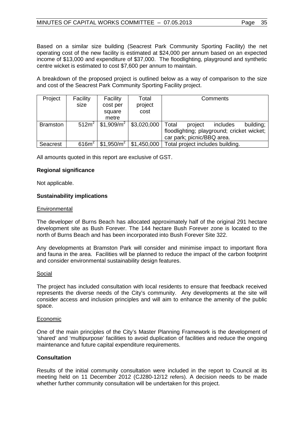Based on a similar size building (Seacrest Park Community Sporting Facility) the net operating cost of the new facility is estimated at \$24,000 per annum based on an expected income of \$13,000 and expenditure of \$37,000. The floodlighting, playground and synthetic centre wicket is estimated to cost \$7,600 per annum to maintain.

A breakdown of the proposed project is outlined below as a way of comparison to the size and cost of the Seacrest Park Community Sporting Facility project.

| Project         | Facility          | Facility               | Total       | Comments                                   |
|-----------------|-------------------|------------------------|-------------|--------------------------------------------|
|                 | size              | cost per               | project     |                                            |
|                 |                   | square                 | cost        |                                            |
|                 |                   | metre                  |             |                                            |
| <b>Bramston</b> | 512m <sup>2</sup> | \$1,909/m <sup>2</sup> | \$3,020,000 | Total<br>includes<br>building;<br>project  |
|                 |                   |                        |             | floodlighting; playground; cricket wicket; |
|                 |                   |                        |             | car park; picnic/BBQ area.                 |
| Seacrest        | 616m <sup>2</sup> | \$1,950/m <sup>2</sup> | \$1,450,000 | Total project includes building.           |

All amounts quoted in this report are exclusive of GST.

# **Regional significance**

Not applicable.

# **Sustainability implications**

# **Environmental**

The developer of Burns Beach has allocated approximately half of the original 291 hectare development site as Bush Forever. The 144 hectare Bush Forever zone is located to the north of Burns Beach and has been incorporated into Bush Forever Site 322.

Any developments at Bramston Park will consider and minimise impact to important flora and fauna in the area. Facilities will be planned to reduce the impact of the carbon footprint and consider environmental sustainability design features.

# Social

The project has included consultation with local residents to ensure that feedback received represents the diverse needs of the City's community. Any developments at the site will consider access and inclusion principles and will aim to enhance the amenity of the public space.

# Economic

One of the main principles of the City's Master Planning Framework is the development of 'shared' and 'multipurpose' facilities to avoid duplication of facilities and reduce the ongoing maintenance and future capital expenditure requirements.

# **Consultation**

Results of the initial community consultation were included in the report to Council at its meeting held on 11 December 2012 (CJ280-12/12 refers). A decision needs to be made whether further community consultation will be undertaken for this project.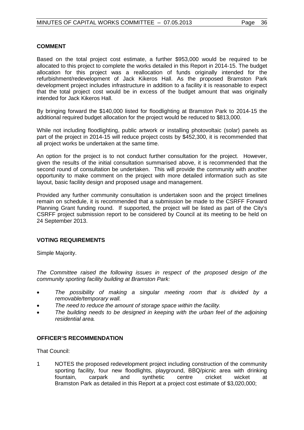# **COMMENT**

Based on the total project cost estimate, a further \$953,000 would be required to be allocated to this project to complete the works detailed in this Report in 2014-15. The budget allocation for this project was a reallocation of funds originally intended for the refurbishment/redevelopment of Jack Kikeros Hall. As the proposed Bramston Park development project includes infrastructure in addition to a facility it is reasonable to expect that the total project cost would be in excess of the budget amount that was originally intended for Jack Kikeros Hall.

By bringing forward the \$140,000 listed for floodlighting at Bramston Park to 2014-15 the additional required budget allocation for the project would be reduced to \$813,000.

While not including floodlighting, public artwork or installing photovoltaic (solar) panels as part of the project in 2014-15 will reduce project costs by \$452,300, it is recommended that all project works be undertaken at the same time.

An option for the project is to not conduct further consultation for the project. However, given the results of the initial consultation summarised above, it is recommended that the second round of consultation be undertaken. This will provide the community with another opportunity to make comment on the project with more detailed information such as site layout, basic facility design and proposed usage and management.

Provided any further community consultation is undertaken soon and the project timelines remain on schedule, it is recommended that a submission be made to the CSRFF Forward Planning Grant funding round. If supported, the project will be listed as part of the City's CSRFF project submission report to be considered by Council at its meeting to be held on 24 September 2013.

# **VOTING REQUIREMENTS**

Simple Majority.

*The Committee raised the following issues in respect of the proposed design of the community sporting facility building at Bramston Park:*

- *The possibility of making a singular meeting room that is divided by a removable/temporary wall.*
- *The need to reduce the amount of storage space within the facility.*
- *The building needs to be designed in keeping with the urban feel of the adjoining residential area.*

# **OFFICER'S RECOMMENDATION**

That Council:

1 NOTES the proposed redevelopment project including construction of the community sporting facility, four new floodlights, playground, BBQ/picnic area with drinking fountain, carpark and synthetic centre cricket wicket at Bramston Park as detailed in this Report at a project cost estimate of \$3,020,000;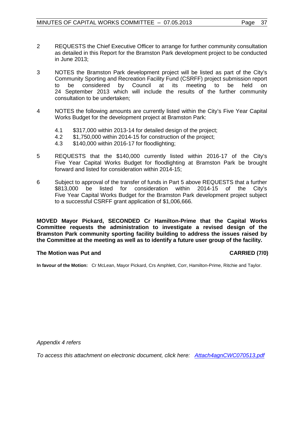- 2 REQUESTS the Chief Executive Officer to arrange for further community consultation as detailed in this Report for the Bramston Park development project to be conducted in June 2013;
- 3 NOTES the Bramston Park development project will be listed as part of the City's Community Sporting and Recreation Facility Fund (CSRFF) project submission report to be considered by Council at its meeting to be held on 24 September 2013 which will include the results of the further community consultation to be undertaken;
- 4 NOTES the following amounts are currently listed within the City's Five Year Capital Works Budget for the development project at Bramston Park:
	-
	- 4.1 \$317,000 within 2013-14 for detailed design of the project;<br>4.2 \$1,750,000 within 2014-15 for construction of the project; \$1,750,000 within 2014-15 for construction of the project;
	- 4.3 \$140,000 within 2016-17 for floodlighting;
- 5 REQUESTS that the \$140,000 currently listed within 2016-17 of the City's Five Year Capital Works Budget for floodlighting at Bramston Park be brought forward and listed for consideration within 2014-15;
- 6 Subject to approval of the transfer of funds in Part 5 above REQUESTS that a further \$813,000 be listed for consideration within 2014-15 of the City's Five Year Capital Works Budget for the Bramston Park development project subject to a successful CSRFF grant application of \$1,006,666.

**MOVED Mayor Pickard, SECONDED Cr Hamilton-Prime that the Capital Works Committee requests the administration to investigate a revised design of the Bramston Park community sporting facility building to address the issues raised by the Committee at the meeting as well as to identify a future user group of the facility.**

# **The Motion was Put and CARRIED (7/0)**

**In favour of the Motion:** Cr McLean, Mayor Pickard, Crs Amphlett, Corr, Hamilton-Prime, Ritchie and Taylor.

*Appendix 4 refers*

*To access this attachment on electronic document, click h[ere: Attach4agnCWC070513.pdf](http://www.joondalup.wa.gov.au/files/committees/CWOC/2013/Attach4agnCWC070513.pdf)*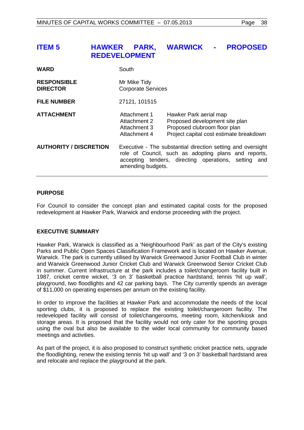# <span id="page-37-0"></span>**ITEM 5 HAWKER PARK, WARWICK - PROPOSED REDEVELOPMENT**

| <b>WARD</b>                           | South                                                                                                                                                                                               |                                                                                                                                     |  |
|---------------------------------------|-----------------------------------------------------------------------------------------------------------------------------------------------------------------------------------------------------|-------------------------------------------------------------------------------------------------------------------------------------|--|
| <b>RESPONSIBLE</b><br><b>DIRECTOR</b> | Mr Mike Tidy<br><b>Corporate Services</b>                                                                                                                                                           |                                                                                                                                     |  |
| <b>FILE NUMBER</b>                    | 27121, 101515                                                                                                                                                                                       |                                                                                                                                     |  |
| <b>ATTACHMENT</b>                     | Attachment 1<br>Attachment 2<br>Attachment 3<br>Attachment 4                                                                                                                                        | Hawker Park aerial map<br>Proposed development site plan<br>Proposed clubroom floor plan<br>Project capital cost estimate breakdown |  |
| <b>AUTHORITY / DISCRETION</b>         | Executive - The substantial direction setting and oversight<br>role of Council, such as adopting plans and reports,<br>accepting tenders, directing operations, setting<br>and<br>amending budgets. |                                                                                                                                     |  |

# **PURPOSE**

For Council to consider the concept plan and estimated capital costs for the proposed redevelopment at Hawker Park, Warwick and endorse proceeding with the project.

# **EXECUTIVE SUMMARY**

Hawker Park, Warwick is classified as a 'Neighbourhood Park' as part of the City's existing Parks and Public Open Spaces Classification Framework and is located on Hawker Avenue, Warwick. The park is currently utilised by Warwick Greenwood Junior Football Club in winter and Warwick Greenwood Junior Cricket Club and Warwick Greenwood Senior Cricket Club in summer. Current infrastructure at the park includes a toilet/changeroom facility built in 1987, cricket centre wicket, '3 on 3' basketball practice hardstand, tennis 'hit up wall', playground, two floodlights and 42 car parking bays. The City currently spends an average of \$11,000 on operating expenses per annum on the existing facility.

In order to improve the facilities at Hawker Park and accommodate the needs of the local sporting clubs, it is proposed to replace the existing toilet/changeroom facility. The redeveloped facility will consist of toilet/changerooms, meeting room, kitchen/kiosk and storage areas. It is proposed that the facility would not only cater for the sporting groups using the oval but also be available to the wider local community for community based meetings and activities.

As part of the project, it is also proposed to construct synthetic cricket practice nets, upgrade the floodlighting, renew the existing tennis 'hit up wall' and '3 on 3' basketball hardstand area and relocate and replace the playground at the park.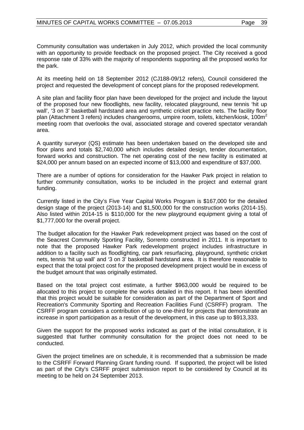Community consultation was undertaken in July 2012, which provided the local community with an opportunity to provide feedback on the proposed project. The City received a good response rate of 33% with the majority of respondents supporting all the proposed works for the park.

At its meeting held on 18 September 2012 (CJ188-09/12 refers), Council considered the project and requested the development of concept plans for the proposed redevelopment.

A site plan and facility floor plan have been developed for the project and include the layout of the proposed four new floodlights, new facility, relocated playground, new tennis 'hit up wall', '3 on 3' basketball hardstand area and synthetic cricket practice nets. The facility floor plan (Attachment 3 refers) includes changerooms, umpire room, toilets, kitchen/kiosk, 100m<sup>2</sup> meeting room that overlooks the oval, associated storage and covered spectator verandah area.

A quantity surveyor (QS) estimate has been undertaken based on the developed site and floor plans and totals \$2,740,000 which includes detailed design, tender documentation, forward works and construction. The net operating cost of the new facility is estimated at \$24,000 per annum based on an expected income of \$13,000 and expenditure of \$37,000.

There are a number of options for consideration for the Hawker Park project in relation to further community consultation, works to be included in the project and external grant funding.

Currently listed in the City's Five Year Capital Works Program is \$167,000 for the detailed design stage of the project (2013-14) and \$1,500,000 for the construction works (2014-15). Also listed within 2014-15 is \$110,000 for the new playground equipment giving a total of \$1,777,000 for the overall project.

The budget allocation for the Hawker Park redevelopment project was based on the cost of the Seacrest Community Sporting Facility, Sorrento constructed in 2011. It is important to note that the proposed Hawker Park redevelopment project includes infrastructure in addition to a facility such as floodlighting, car park resurfacing, playground, synthetic cricket nets, tennis 'hit up wall' and '3 on 3' basketball hardstand area. It is therefore reasonable to expect that the total project cost for the proposed development project would be in excess of the budget amount that was originally estimated.

Based on the total project cost estimate, a further \$963,000 would be required to be allocated to this project to complete the works detailed in this report. It has been identified that this project would be suitable for consideration as part of the Department of Sport and Recreation's Community Sporting and Recreation Facilities Fund (CSRFF) program. The CSRFF program considers a contribution of up to one-third for projects that demonstrate an increase in sport participation as a result of the development, in this case up to \$913,333.

Given the support for the proposed works indicated as part of the initial consultation, it is suggested that further community consultation for the project does not need to be conducted.

Given the project timelines are on schedule, it is recommended that a submission be made to the CSRFF Forward Planning Grant funding round. If supported, the project will be listed as part of the City's CSRFF project submission report to be considered by Council at its meeting to be held on 24 September 2013.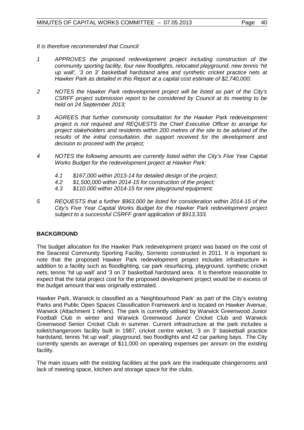*It is therefore recommended that Council:*

- *1 APPROVES the proposed redevelopment project including construction of the community sporting facility, four new floodlights, relocated playground, new tennis 'hit up wall', '3 on 3' basketball hardstand area and synthetic cricket practice nets at Hawker Park as detailed in this Report at a capital cost estimate of \$2,740,000;*
- *2 NOTES the Hawker Park redevelopment project will be listed as part of the City's CSRFF project submission report to be considered by Council at its meeting to be held on 24 September 2013;*
- *3 AGREES that further community consultation for the Hawker Park redevelopment project is not required and REQUESTS the Chief Executive Officer to arrange for project stakeholders and residents within 200 metres of the site to be advised of the results of the initial consultation, the support received for the development and decision to proceed with the project;*
- *4 NOTES the following amounts are currently listed within the City's Five Year Capital Works Budget for the redevelopment project at Hawker Park:*
	- *4.1 \$167,000 within 2013-14 for detailed design of the project;*
	- *4.2 \$1,500,000 within 2014-15 for construction of the project;*
	- *4.3 \$110,000 within 2014-15 for new playground equipment;*
- *5 REQUESTS that a further \$963,000 be listed for consideration within 2014-15 of the City's Five Year Capital Works Budget for the Hawker Park redevelopment project subject to a successful CSRFF grant application of \$913,333.*

# **BACKGROUND**

The budget allocation for the Hawker Park redevelopment project was based on the cost of the Seacrest Community Sporting Facility, Sorrento constructed in 2011. It is important to note that the proposed Hawker Park redevelopment project includes infrastructure in addition to a facility such as floodlighting, car park resurfacing, playground, synthetic cricket nets, tennis 'hit up wall' and '3 on 3' basketball hardstand area. It is therefore reasonable to expect that the total project cost for the proposed development project would be in excess of the budget amount that was originally estimated.

Hawker Park, Warwick is classified as a 'Neighbourhood Park' as part of the City's existing Parks and Public Open Spaces Classification Framework and is located on Hawker Avenue, Warwick (Attachment 1 refers). The park is currently utilised by Warwick Greenwood Junior Football Club in winter and Warwick Greenwood Junior Cricket Club and Warwick Greenwood Senior Cricket Club in summer. Current infrastructure at the park includes a toilet/changeroom facility built in 1987, cricket centre wicket, '3 on 3' basketball practice hardstand, tennis 'hit up wall', playground, two floodlights and 42 car parking bays. The City currently spends an average of \$11,000 on operating expenses per annum on the existing facility.

The main issues with the existing facilities at the park are the inadequate changerooms and lack of meeting space, kitchen and storage space for the clubs.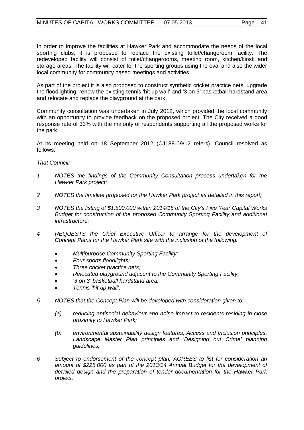In order to improve the facilities at Hawker Park and accommodate the needs of the local sporting clubs, it is proposed to replace the existing toilet/changeroom facility. The redeveloped facility will consist of toilet/changerooms, meeting room, kitchen/kiosk and storage areas. The facility will cater for the sporting groups using the oval and also the wider local community for community based meetings and activities.

As part of the project it is also proposed to construct synthetic cricket practice nets, upgrade the floodlighting, renew the existing tennis 'hit up wall' and '3 on 3' basketball hardstand area and relocate and replace the playground at the park.

Community consultation was undertaken in July 2012, which provided the local community with an opportunity to provide feedback on the proposed project. The City received a good response rate of 33% with the majority of respondents supporting all the proposed works for the park.

At its meeting held on 18 September 2012 (CJ188-09/12 refers), Council resolved as follows:

# *That Council:*

- *1 NOTES the findings of the Community Consultation process undertaken for the Hawker Park project;*
- *2 NOTES the timeline proposed for the Hawker Park project as detailed in this report;*
- *3 NOTES the listing of \$1,500,000 within 2014/15 of the City's Five Year Capital Works Budget for construction of the proposed Community Sporting Facility and additional infrastructure;*
- *4 REQUESTS the Chief Executive Officer to arrange for the development of Concept Plans for the Hawker Park site with the inclusion of the following:*
	- *Multipurpose Community Sporting Facility;*
	- *Four sports floodlights;*
	- *Three cricket practice nets;*
	- *Relocated playground adjacent to the Community Sporting Facility;*
	- *'3 on 3' basketball hardstand area;*
	- *Tennis 'hit up wall',*
- *5 NOTES that the Concept Plan will be developed with consideration given to:*
	- *(a) reducing antisocial behaviour and noise impact to residents residing in close proximity to Hawker Park;*
	- *(b) environmental sustainability design features, Access and Inclusion principles, Landscape Master Plan principles and 'Designing out Crime' planning guidelines,*
- *6 Subject to endorsement of the concept plan, AGREES to list for consideration an amount of \$225,000 as part of the 2013/14 Annual Budget for the development of detailed design and the preparation of tender documentation for the Hawker Park project.*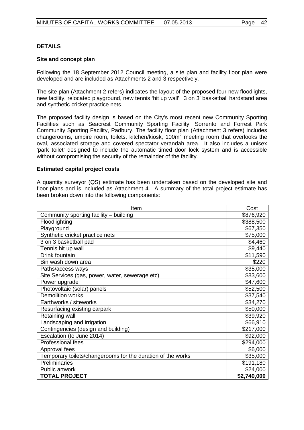# **DETAILS**

# **Site and concept plan**

Following the 18 September 2012 Council meeting, a site plan and facility floor plan were developed and are included as Attachments 2 and 3 respectively.

The site plan (Attachment 2 refers) indicates the layout of the proposed four new floodlights, new facility, relocated playground, new tennis 'hit up wall', '3 on 3' basketball hardstand area and synthetic cricket practice nets.

The proposed facility design is based on the City's most recent new Community Sporting Facilities such as Seacrest Community Sporting Facility, Sorrento and Forrest Park Community Sporting Facility, Padbury. The facility floor plan (Attachment 3 refers) includes changerooms, umpire room, toilets, kitchen/kiosk, 100m<sup>2</sup> meeting room that overlooks the oval, associated storage and covered spectator verandah area. It also includes a unisex 'park toilet' designed to include the automatic timed door lock system and is accessible without compromising the security of the remainder of the facility.

# **Estimated capital project costs**

A quantity surveyor (QS) estimate has been undertaken based on the developed site and floor plans and is included as Attachment 4. A summary of the total project estimate has been broken down into the following components:

| Item                                                        | Cost        |
|-------------------------------------------------------------|-------------|
| Community sporting facility - building                      | \$876,920   |
| Floodlighting                                               | \$388,500   |
| Playground                                                  | \$67,350    |
| Synthetic cricket practice nets                             | \$75,000    |
| 3 on 3 basketball pad                                       | \$4,460     |
| Tennis hit up wall                                          | \$9,440     |
| Drink fountain                                              | \$11,590    |
| Bin wash down area                                          | \$220       |
| Paths/access ways                                           | \$35,000    |
| Site Services (gas, power, water, sewerage etc)             | \$83,600    |
| Power upgrade                                               | \$47,600    |
| Photovoltaic (solar) panels                                 | \$52,500    |
| <b>Demolition works</b>                                     | \$37,540    |
| Earthworks / siteworks                                      | \$34,270    |
| Resurfacing existing carpark                                | \$50,000    |
| Retaining wall                                              | \$39,920    |
| Landscaping and irrigation                                  | \$66,910    |
| Contingencies (design and building)                         | \$217,000   |
| Escalation (to June 2014)                                   | \$92,000    |
| Professional fees                                           | \$294,000   |
| Approval fees                                               | \$6,000     |
| Temporary toilets/changerooms for the duration of the works | \$35,000    |
| Preliminaries                                               | \$191,180   |
| Public artwork                                              | \$24,000    |
| <b>TOTAL PROJECT</b>                                        | \$2,740,000 |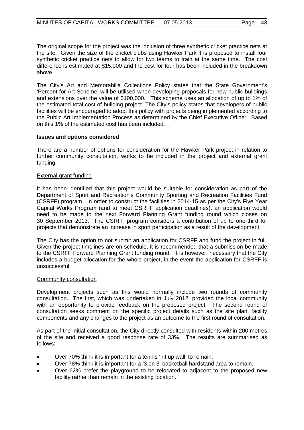The original scope for the project was the inclusion of three synthetic cricket practice nets at the site. Given the size of the cricket clubs using Hawker Park it is proposed to install four synthetic cricket practice nets to allow for two teams to train at the same time. The cost difference is estimated at \$15,000 and the cost for four has been included in the breakdown above.

The City's Art and Memorabilia Collections Policy states that the State Government's 'Percent for Art Scheme' will be utilised when developing proposals for new public buildings and extensions over the value of \$100,000. This scheme uses an allocation of up to 1% of the estimated total cost of building project. The City's policy states that developers of public facilities will be encouraged to adopt this policy with projects being implemented according to the Public Art Implementation Process as determined by the Chief Executive Officer. Based on this 1% of the estimated cost has been included.

# **Issues and options considered**

There are a number of options for consideration for the Hawker Park project in relation to further community consultation, works to be included in the project and external grant funding.

# External grant funding

It has been identified that this project would be suitable for consideration as part of the Department of Sport and Recreation's Community Sporting and Recreation Facilities Fund (CSRFF) program. In order to construct the facilities in 2014-15 as per the City's Five Year Capital Works Program (and to meet CSRFF application deadlines), an application would need to be made to the next Forward Planning Grant funding round which closes on 30 September 2013. The CSRFF program considers a contribution of up to one-third for projects that demonstrate an increase in sport participation as a result of the development.

The City has the option to not submit an application for CSRFF and fund the project in full. Given the project timelines are on schedule, it is recommended that a submission be made to the CSRFF Forward Planning Grant funding round. It is however, necessary that the City includes a budget allocation for the whole project, in the event the application for CSRFF is unsuccessful.

# Community consultation

Development projects such as this would normally include two rounds of community consultation. The first, which was undertaken in July 2012, provided the local community with an opportunity to provide feedback on the proposed project. The second round of consultation seeks comment on the specific project details such as the site plan, facility components and any changes to the project as an outcome to the first round of consultation.

As part of the initial consultation, the City directly consulted with residents within 200 metres of the site and received a good response rate of 33%. The results are summarised as follows:

- Over 70% think it is important for a tennis 'hit up wall' to remain.
- Over 78% think it is important for a '3 on 3' basketball hardstand area to remain.
- Over 62% prefer the playground to be relocated to adjacent to the proposed new facility rather than remain in the existing location.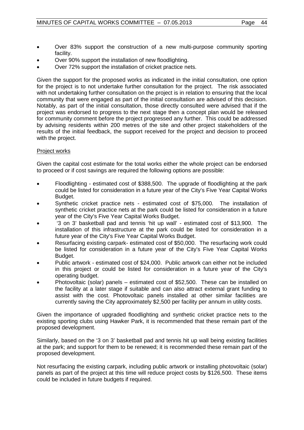- Over 83% support the construction of a new multi-purpose community sporting facility.
- Over 90% support the installation of new floodlighting.
- Over 72% support the installation of cricket practice nets.

Given the support for the proposed works as indicated in the initial consultation, one option for the project is to not undertake further consultation for the project. The risk associated with not undertaking further consultation on the project is in relation to ensuring that the local community that were engaged as part of the initial consultation are advised of this decision. Notably, as part of the initial consultation, those directly consulted were advised that if the project was endorsed to progress to the next stage then a concept plan would be released for community comment before the project progressed any further. This could be addressed by advising residents within 200 metres of the site and other project stakeholders of the results of the initial feedback, the support received for the project and decision to proceed with the project.

# Project works

Given the capital cost estimate for the total works either the whole project can be endorsed to proceed or if cost savings are required the following options are possible:

- Floodlighting estimated cost of \$388,500. The upgrade of floodlighting at the park could be listed for consideration in a future year of the City's Five Year Capital Works Budget.
- Synthetic cricket practice nets estimated cost of \$75,000. The installation of synthetic cricket practice nets at the park could be listed for consideration in a future year of the City's Five Year Capital Works Budget.
- '3 on 3' basketball pad and tennis 'hit up wall' estimated cost of \$13,900. The installation of this infrastructure at the park could be listed for consideration in a future year of the City's Five Year Capital Works Budget.
- Resurfacing existing carpark- estimated cost of \$50,000. The resurfacing work could be listed for consideration in a future year of the City's Five Year Capital Works Budget.
- Public artwork estimated cost of \$24,000. Public artwork can either not be included in this project or could be listed for consideration in a future year of the City's operating budget.
- Photovoltaic (solar) panels estimated cost of \$52,500. These can be installed on the facility at a later stage if suitable and can also attract external grant funding to assist with the cost. Photovoltaic panels installed at other similar facilities are currently saving the City approximately \$2,500 per facility per annum in utility costs.

Given the importance of upgraded floodlighting and synthetic cricket practice nets to the existing sporting clubs using Hawker Park, it is recommended that these remain part of the proposed development.

Similarly, based on the '3 on 3' basketball pad and tennis hit up wall being existing facilities at the park; and support for them to be renewed; it is recommended these remain part of the proposed development.

Not resurfacing the existing carpark, including public artwork or installing photovoltaic (solar) panels as part of the project at this time will reduce project costs by \$126,500. These items could be included in future budgets if required.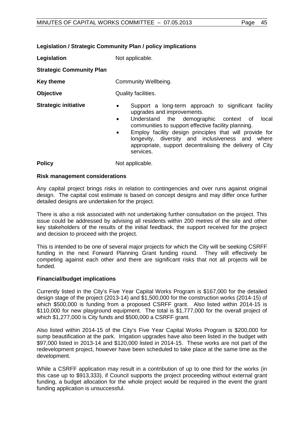# **Legislation / Strategic Community Plan / policy implications**

**Legislation** Not applicable. **Strategic Community Plan**

**Key theme Community Wellbeing. Objective** Quality facilities.

- **Strategic initiative •** Support a long-term approach to significant facility upgrades and improvements.
	- Understand the demographic context of local communities to support effective facility planning.
	- Employ facility design principles that will provide for longevity, diversity and inclusiveness and where appropriate, support decentralising the delivery of City services.

**Policy** Not applicable.

# **Risk management considerations**

Any capital project brings risks in relation to contingencies and over runs against original design. The capital cost estimate is based on concept designs and may differ once further detailed designs are undertaken for the project.

There is also a risk associated with not undertaking further consultation on the project. This issue could be addressed by advising all residents within 200 metres of the site and other key stakeholders of the results of the initial feedback, the support received for the project and decision to proceed with the project.

This is intended to be one of several major projects for which the City will be seeking CSRFF funding in the next Forward Planning Grant funding round. They will effectively be competing against each other and there are significant risks that not all projects will be funded.

# **Financial/budget implications**

Currently listed in the City's Five Year Capital Works Program is \$167,000 for the detailed design stage of the project (2013-14) and \$1,500,000 for the construction works (2014-15) of which \$500,000 is funding from a proposed CSRFF grant. Also listed within 2014-15 is \$110,000 for new playground equipment. The total is \$1,777,000 for the overall project of which \$1,277,000 is City funds and \$500,000 a CSRFF grant.

Also listed within 2014-15 of the City's Five Year Capital Works Program is \$200,000 for sump beautification at the park. Irrigation upgrades have also been listed in the budget with \$97,000 listed in 2013-14 and \$120,000 listed in 2014-15. These works are not part of the redevelopment project, however have been scheduled to take place at the same time as the development.

While a CSRFF application may result in a contribution of up to one third for the works (in this case up to \$913,333), if Council supports the project proceeding without external grant funding, a budget allocation for the whole project would be required in the event the grant funding application is unsuccessful.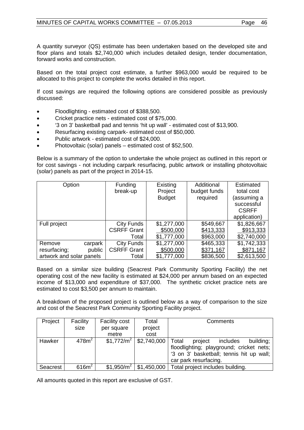A quantity surveyor (QS) estimate has been undertaken based on the developed site and floor plans and totals \$2,740,000 which includes detailed design, tender documentation, forward works and construction.

Based on the total project cost estimate, a further \$963,000 would be required to be allocated to this project to complete the works detailed in this report.

If cost savings are required the following options are considered possible as previously discussed:

- Floodlighting estimated cost of \$388,500.
- Cricket practice nets estimated cost of \$75,000.
- '3 on 3' basketball pad and tennis 'hit up wall' estimated cost of \$13,900.
- Resurfacing existing carpark- estimated cost of \$50,000.
- Public artwork estimated cost of \$24,000.
- Photovoltaic (solar) panels estimated cost of \$52,500.

Below is a summary of the option to undertake the whole project as outlined in this report or for cost savings - not including carpark resurfacing, public artwork or installing photovoltaic (solar) panels as part of the project in 2014-15.

| Option                   | <b>Funding</b>     | Existing      | Additional   | Estimated    |
|--------------------------|--------------------|---------------|--------------|--------------|
|                          | break-up           | Project       | budget funds | total cost   |
|                          |                    | <b>Budget</b> | required     | (assuming a  |
|                          |                    |               |              | successful   |
|                          |                    |               |              | <b>CSRFF</b> |
|                          |                    |               |              | application) |
| Full project             | City Funds         | \$1,277,000   | \$549,667    | \$1,826,667  |
|                          | <b>CSRFF Grant</b> | \$500,000     | \$413,333    | \$913,333    |
|                          | Total              | \$1,777,000   | \$963,000    | \$2,740,000  |
| Remove<br>carpark        | City Funds         | \$1,277,000   | \$465,333    | \$1,742,333  |
| resurfacing;<br>public   | <b>CSRFF Grant</b> | \$500,000     | \$371,167    | \$871,167    |
| artwork and solar panels | Total              | \$1,777,000   | \$836,500    | \$2,613,500  |

Based on a similar size building (Seacrest Park Community Sporting Facility) the net operating cost of the new facility is estimated at \$24,000 per annum based on an expected income of \$13,000 and expenditure of \$37,000. The synthetic cricket practice nets are estimated to cost \$3,500 per annum to maintain.

A breakdown of the proposed project is outlined below as a way of comparison to the size and cost of the Seacrest Park Community Sporting Facility project.

| Project  | Facility          | <b>Facility cost</b>   | Total       | Comments                                  |
|----------|-------------------|------------------------|-------------|-------------------------------------------|
|          | size              | per square             | project     |                                           |
|          |                   | metre                  | cost        |                                           |
| Hawker   | 478m <sup>2</sup> | \$1,772/m <sup>2</sup> | \$2,740,000 | Total<br>building;<br>includes<br>project |
|          |                   |                        |             | floodlighting; playground; cricket nets;  |
|          |                   |                        |             | '3 on 3' basketball; tennis hit up wall;  |
|          |                   |                        |             | car park resurfacing.                     |
| Seacrest | 616m <sup>2</sup> | \$1,950/m <sup>2</sup> | \$1,450,000 | Total project includes building.          |

All amounts quoted in this report are exclusive of GST.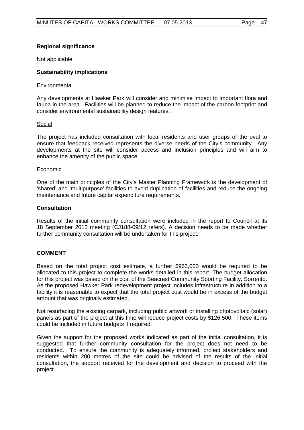# **Regional significance**

Not applicable.

# **Sustainability implications**

# **Environmental**

Any developments at Hawker Park will consider and minimise impact to important flora and fauna in the area. Facilities will be planned to reduce the impact of the carbon footprint and consider environmental sustainability design features.

# Social

The project has included consultation with local residents and user groups of the oval to ensure that feedback received represents the diverse needs of the City's community. Any developments at the site will consider access and inclusion principles and will aim to enhance the amenity of the public space.

# Economic

One of the main principles of the City's Master Planning Framework is the development of 'shared' and 'multipurpose' facilities to avoid duplication of facilities and reduce the ongoing maintenance and future capital expenditure requirements.

# **Consultation**

Results of the initial community consultation were included in the report to Council at its 18 September 2012 meeting (CJ188-09/12 refers). A decision needs to be made whether further community consultation will be undertaken for this project.

# **COMMENT**

Based on the total project cost estimate, a further \$963,000 would be required to be allocated to this project to complete the works detailed in this report. The budget allocation for this project was based on the cost of the Seacrest Community Sporting Facility, Sorrento. As the proposed Hawker Park redevelopment project includes infrastructure in addition to a facility it is reasonable to expect that the total project cost would be in excess of the budget amount that was originally estimated.

Not resurfacing the existing carpark, including public artwork or installing photovoltaic (solar) panels as part of the project at this time will reduce project costs by \$126,500. These items could be included in future budgets if required.

Given the support for the proposed works indicated as part of the initial consultation, it is suggested that further community consultation for the project does not need to be conducted. To ensure the community is adequately informed, project stakeholders and residents within 200 metres of the site could be advised of the results of the initial consultation, the support received for the development and decision to proceed with the project.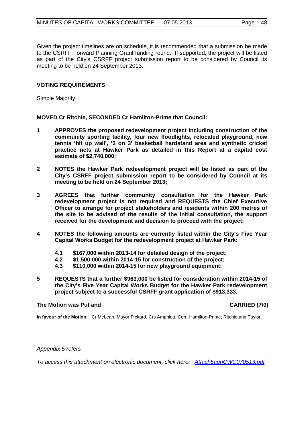Given the project timelines are on schedule, it is recommended that a submission be made to the CSRFF Forward Planning Grant funding round. If supported, the project will be listed as part of the City's CSRFF project submission report to be considered by Council its meeting to be held on 24 September 2013.

# **VOTING REQUIREMENTS**

Simple Majority.

**MOVED Cr Ritchie, SECONDED Cr Hamilton-Prime that Council:**

- **1 APPROVES the proposed redevelopment project including construction of the community sporting facility, four new floodlights, relocated playground, new tennis 'hit up wall', '3 on 3' basketball hardstand area and synthetic cricket practice nets at Hawker Park as detailed in this Report at a capital cost estimate of \$2,740,000;**
- **2 NOTES the Hawker Park redevelopment project will be listed as part of the City's CSRFF project submission report to be considered by Council at its meeting to be held on 24 September 2013;**
- **3 AGREES that further community consultation for the Hawker Park redevelopment project is not required and REQUESTS the Chief Executive Officer to arrange for project stakeholders and residents within 200 metres of the site to be advised of the results of the initial consultation, the support received for the development and decision to proceed with the project;**
- **4 NOTES the following amounts are currently listed within the City's Five Year Capital Works Budget for the redevelopment project at Hawker Park:**
	- **4.1 \$167,000 within 2013-14 for detailed design of the project;**
	- **4.2 \$1,500,000 within 2014-15 for construction of the project;**
	- **4.3 \$110,000 within 2014-15 for new playground equipment;**
- **5 REQUESTS that a further \$963,000 be listed for consideration within 2014-15 of the City's Five Year Capital Works Budget for the Hawker Park redevelopment project subject to a successful CSRFF grant application of \$913,333.**

# **The Motion was Put and CARRIED (7/0)**

**In favour of the Motion:** Cr McLean, Mayor Pickard, Crs Amphlett, Corr, Hamilton-Prime, Ritchie and Taylor.

# *Appendix 5 refers*

*To access this attachment on electronic document, click h[ere: Attach5agnCWC070513.pdf](http://www.joondalup.wa.gov.au/files/committees/CWOC/2013/Attach5agnCWC070513.pdf)*